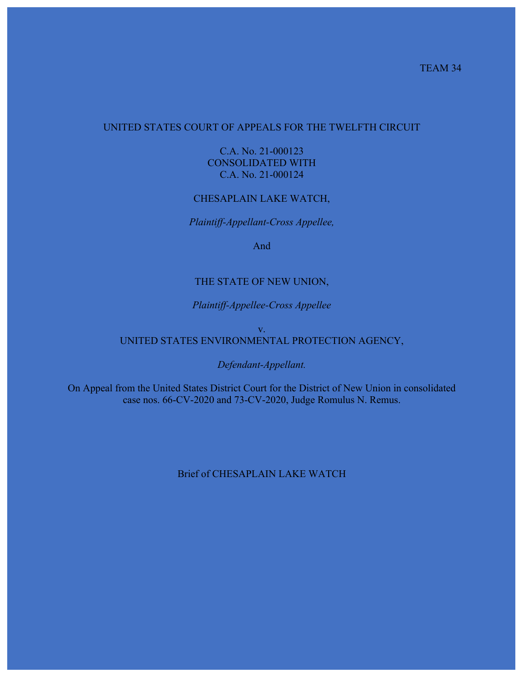## UNITED STATES COURT OF APPEALS FOR THE TWELFTH CIRCUIT

C.A. No. 21-000123 CONSOLIDATED WITH C.A. No. 21-000124

### CHESAPLAIN LAKE WATCH,

*Plaintiff-Appellant-Cross Appellee,*

And

#### THE STATE OF NEW UNION,

#### *Plaintiff-Appellee-Cross Appellee*

#### v. UNITED STATES ENVIRONMENTAL PROTECTION AGENCY,

#### *Defendant-Appellant.*

On Appeal from the United States District Court for the District of New Union in consolidated case nos. 66-CV-2020 and 73-CV-2020, Judge Romulus N. Remus.

## Brief of CHESAPLAIN LAKE WATCH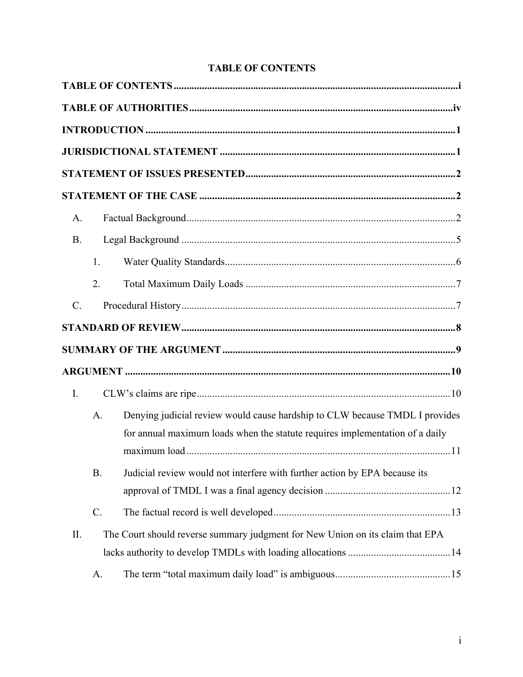| A.             |           |                                                                                                                                                             |  |  |  |  |  |
|----------------|-----------|-------------------------------------------------------------------------------------------------------------------------------------------------------------|--|--|--|--|--|
| <b>B.</b>      |           |                                                                                                                                                             |  |  |  |  |  |
|                | 1.        |                                                                                                                                                             |  |  |  |  |  |
|                | 2.        |                                                                                                                                                             |  |  |  |  |  |
| $C$ .          |           |                                                                                                                                                             |  |  |  |  |  |
|                |           |                                                                                                                                                             |  |  |  |  |  |
|                |           |                                                                                                                                                             |  |  |  |  |  |
|                |           |                                                                                                                                                             |  |  |  |  |  |
| $\mathbf{I}$ . |           |                                                                                                                                                             |  |  |  |  |  |
|                | A.        | Denying judicial review would cause hardship to CLW because TMDL I provides<br>for annual maximum loads when the statute requires implementation of a daily |  |  |  |  |  |
|                | <b>B.</b> | Judicial review would not interfere with further action by EPA because its                                                                                  |  |  |  |  |  |
|                | $C$ .     |                                                                                                                                                             |  |  |  |  |  |
| II.            |           | The Court should reverse summary judgment for New Union on its claim that EPA                                                                               |  |  |  |  |  |
|                | A.        |                                                                                                                                                             |  |  |  |  |  |

# **TABLE OF CONTENTS**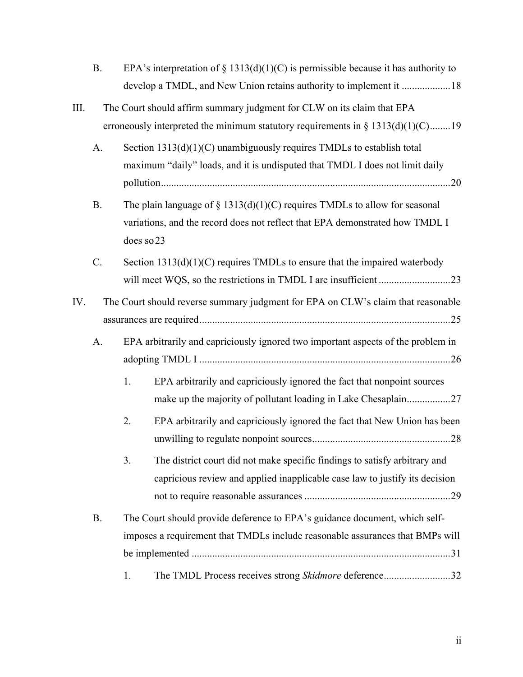| EPA's interpretation of $\S$ 1313(d)(1)(C) is permissible because it has authority to |
|---------------------------------------------------------------------------------------|
|                                                                                       |

- III. The Court should affirm summary judgment for CLW on its claim that EPA erroneously interpreted the minimum statutory requirements in  $\S 1313(d)(1)(C)$ ........19
	- A. Section  $1313(d)(1)(C)$  unambiguously requires TMDLs to establish total maximum "daily" loads, and it is undisputed that TMDL I does not limit daily pollution.................................................................................................................20
	- B. The plain language of  $\S$  1313(d)(1)(C) requires TMDLs to allow for seasonal variations, and the record does not reflect that EPA demonstrated how TMDL I does so23
	- C. Section 1313(d)(1)(C) requires TMDLs to ensure that the impaired waterbody will meet WQS, so the restrictions in TMDL I are insufficient ............................23
- IV. The Court should reverse summary judgment for EPA on CLW's claim that reasonable assurances are required..................................................................................................25
	- A. EPA arbitrarily and capriciously ignored two important aspects of the problem in adopting TMDL I ..................................................................................................26
		- 1. EPA arbitrarily and capriciously ignored the fact that nonpoint sources make up the majority of pollutant loading in Lake Chesaplain....................27
		- 2. EPA arbitrarily and capriciously ignored the fact that New Union has been unwilling to regulate nonpoint sources......................................................28
		- 3. The district court did not make specific findings to satisfy arbitrary and capricious review and applied inapplicable case law to justify its decision not to require reasonable assurances .........................................................29
	- B. The Court should provide deference to EPA's guidance document, which selfimposes a requirement that TMDLs include reasonable assurances that BMPs will be implemented .....................................................................................................31 1. The TMDL Process receives strong *Skidmore* deference..........................32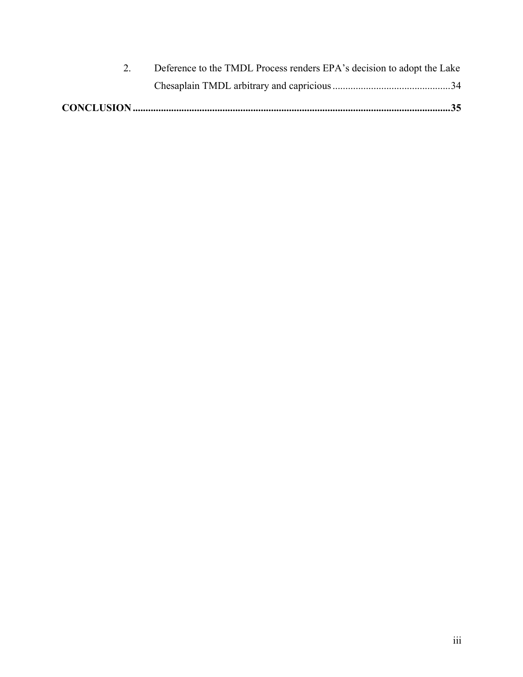| Deference to the TMDL Process renders EPA's decision to adopt the Lake |
|------------------------------------------------------------------------|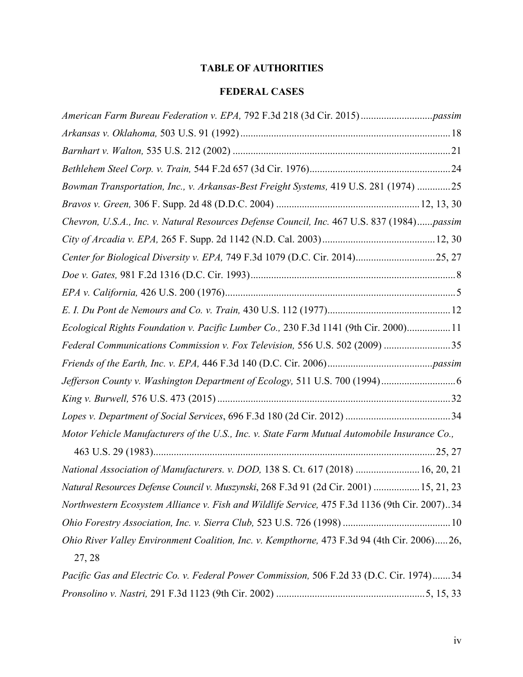# **TABLE OF AUTHORITIES**

## **FEDERAL CASES**

| Bowman Transportation, Inc., v. Arkansas-Best Freight Systems, 419 U.S. 281 (1974) 25         |
|-----------------------------------------------------------------------------------------------|
|                                                                                               |
| Chevron, U.S.A., Inc. v. Natural Resources Defense Council, Inc. 467 U.S. 837 (1984)passim    |
|                                                                                               |
| Center for Biological Diversity v. EPA, 749 F.3d 1079 (D.C. Cir. 2014)25, 27                  |
|                                                                                               |
|                                                                                               |
|                                                                                               |
| Ecological Rights Foundation v. Pacific Lumber Co., 230 F.3d 1141 (9th Cir. 2000) 11          |
| Federal Communications Commission v. Fox Television, 556 U.S. 502 (2009) 35                   |
|                                                                                               |
|                                                                                               |
|                                                                                               |
|                                                                                               |
| Motor Vehicle Manufacturers of the U.S., Inc. v. State Farm Mutual Automobile Insurance Co.,  |
|                                                                                               |
| National Association of Manufacturers. v. DOD, 138 S. Ct. 617 (2018)  16, 20, 21              |
| Natural Resources Defense Council v. Muszynski, 268 F.3d 91 (2d Cir. 2001)  15, 21, 23        |
| Northwestern Ecosystem Alliance v. Fish and Wildlife Service, 475 F.3d 1136 (9th Cir. 2007)34 |
|                                                                                               |
| Ohio River Valley Environment Coalition, Inc. v. Kempthorne, 473 F.3d 94 (4th Cir. 2006)26,   |
| 27, 28                                                                                        |
| Pacific Gas and Electric Co. v. Federal Power Commission, 506 F.2d 33 (D.C. Cir. 1974)34      |
|                                                                                               |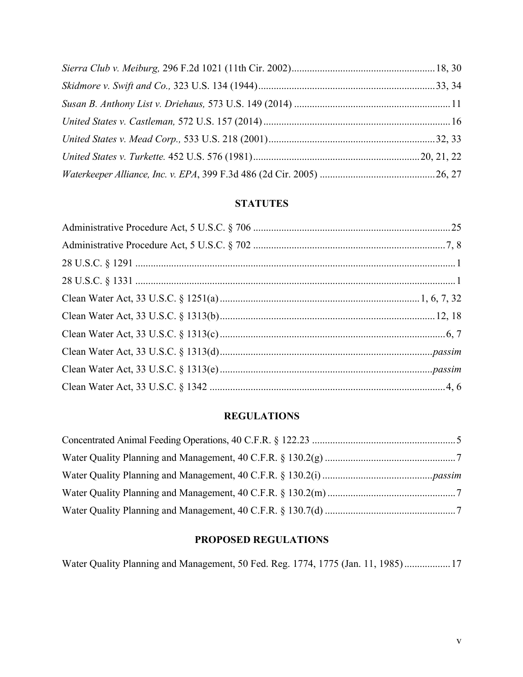# **STATUTES**

# **REGULATIONS**

## **PROPOSED REGULATIONS**

Water Quality Planning and Management, 50 Fed. Reg. 1774, 1775 (Jan. 11, 1985)..................17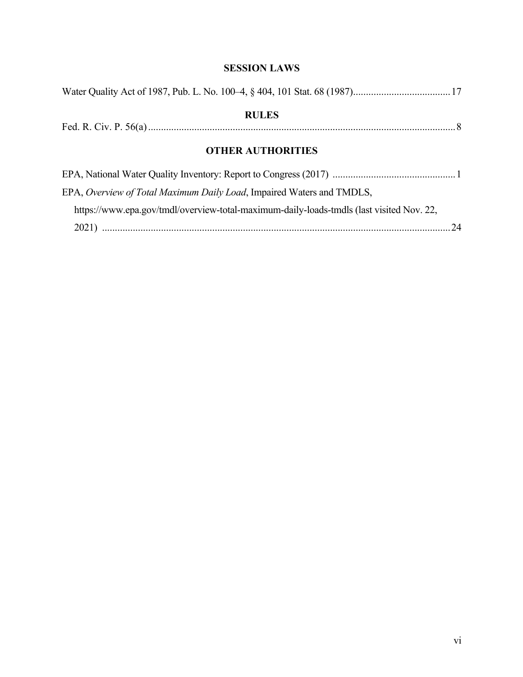## **SESSION LAWS**

| <b>RULES</b>                                                          |
|-----------------------------------------------------------------------|
|                                                                       |
| <b>OTHER AUTHORITIES</b>                                              |
|                                                                       |
| EPA, Overview of Total Maximum Daily Load, Impaired Waters and TMDLS, |

https://www.epa.gov/tmdl/overview-total-maximum-daily-loads-tmdls (last visited Nov. 22, 2021) ........................................................................................................................................24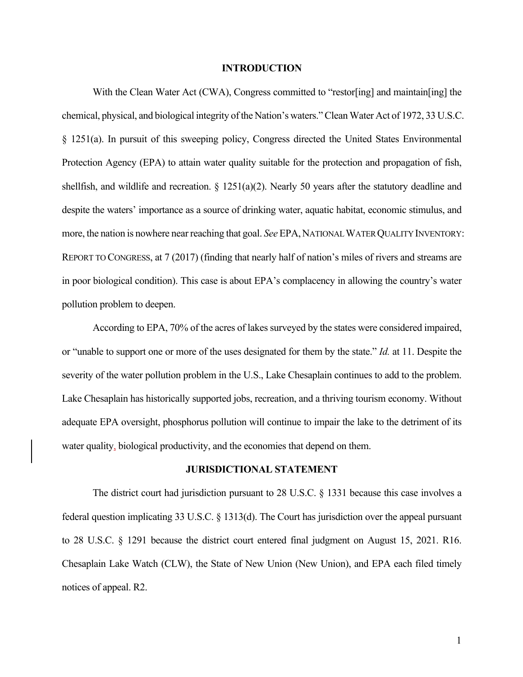#### **INTRODUCTION**

With the Clean Water Act (CWA), Congress committed to "restor[ing] and maintain[ing] the chemical, physical, and biological integrity of the Nation's waters." Clean Water Act of 1972, 33 U.S.C. § 1251(a). In pursuit of this sweeping policy, Congress directed the United States Environmental Protection Agency (EPA) to attain water quality suitable for the protection and propagation of fish, shellfish, and wildlife and recreation.  $\S 1251(a)(2)$ . Nearly 50 years after the statutory deadline and despite the waters' importance as a source of drinking water, aquatic habitat, economic stimulus, and more, the nation is nowhere near reaching that goal. *See* EPA,NATIONAL WATER QUALITY INVENTORY: REPORT TO CONGRESS, at 7 (2017) (finding that nearly half of nation's miles of rivers and streams are in poor biological condition). This case is about EPA's complacency in allowing the country's water pollution problem to deepen.

According to EPA, 70% of the acres of lakes surveyed by the states were considered impaired, or "unable to support one or more of the uses designated for them by the state." *Id.* at 11. Despite the severity of the water pollution problem in the U.S., Lake Chesaplain continues to add to the problem. Lake Chesaplain has historically supported jobs, recreation, and a thriving tourism economy. Without adequate EPA oversight, phosphorus pollution will continue to impair the lake to the detriment of its water quality, biological productivity, and the economies that depend on them.

#### **JURISDICTIONAL STATEMENT**

The district court had jurisdiction pursuant to 28 U.S.C. § 1331 because this case involves a federal question implicating 33 U.S.C. § 1313(d). The Court has jurisdiction over the appeal pursuant to 28 U.S.C. § 1291 because the district court entered final judgment on August 15, 2021. R16. Chesaplain Lake Watch (CLW), the State of New Union (New Union), and EPA each filed timely notices of appeal. R2.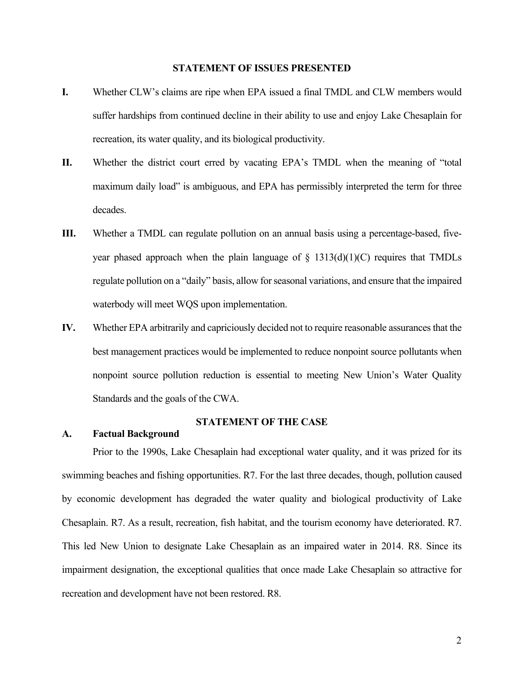#### **STATEMENT OF ISSUES PRESENTED**

- **I.** Whether CLW's claims are ripe when EPA issued a final TMDL and CLW members would suffer hardships from continued decline in their ability to use and enjoy Lake Chesaplain for recreation, its water quality, and its biological productivity.
- **II.** Whether the district court erred by vacating EPA's TMDL when the meaning of "total maximum daily load" is ambiguous, and EPA has permissibly interpreted the term for three decades.
- **III.** Whether a TMDL can regulate pollution on an annual basis using a percentage-based, fiveyear phased approach when the plain language of  $\S$  1313(d)(1)(C) requires that TMDLs regulate pollution on a "daily" basis, allow for seasonal variations, and ensure that the impaired waterbody will meet WQS upon implementation.
- **IV.** Whether EPA arbitrarily and capriciously decided not to require reasonable assurances that the best management practices would be implemented to reduce nonpoint source pollutants when nonpoint source pollution reduction is essential to meeting New Union's Water Quality Standards and the goals of the CWA.

#### **STATEMENT OF THE CASE**

## **A. Factual Background**

Prior to the 1990s, Lake Chesaplain had exceptional water quality, and it was prized for its swimming beaches and fishing opportunities. R7. For the last three decades, though, pollution caused by economic development has degraded the water quality and biological productivity of Lake Chesaplain. R7. As a result, recreation, fish habitat, and the tourism economy have deteriorated. R7. This led New Union to designate Lake Chesaplain as an impaired water in 2014. R8. Since its impairment designation, the exceptional qualities that once made Lake Chesaplain so attractive for recreation and development have not been restored. R8.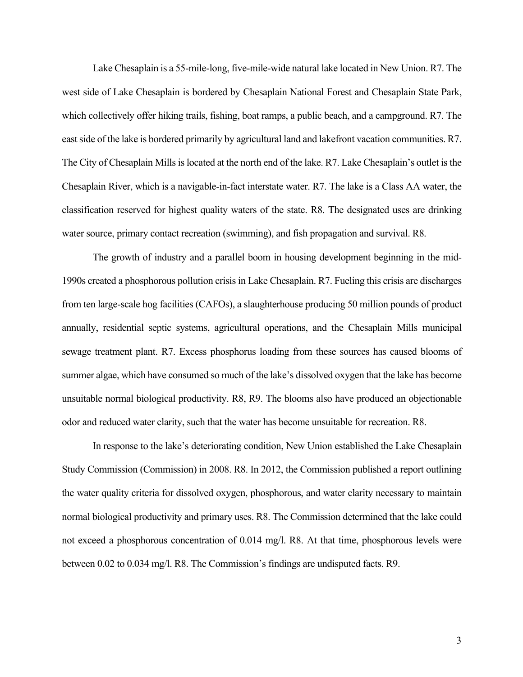Lake Chesaplain is a 55-mile-long, five-mile-wide natural lake located in New Union. R7. The west side of Lake Chesaplain is bordered by Chesaplain National Forest and Chesaplain State Park, which collectively offer hiking trails, fishing, boat ramps, a public beach, and a campground. R7. The east side of the lake is bordered primarily by agricultural land and lakefront vacation communities. R7. The City of Chesaplain Mills is located at the north end of the lake. R7. Lake Chesaplain's outlet is the Chesaplain River, which is a navigable-in-fact interstate water. R7. The lake is a Class AA water, the classification reserved for highest quality waters of the state. R8. The designated uses are drinking water source, primary contact recreation (swimming), and fish propagation and survival. R8.

The growth of industry and a parallel boom in housing development beginning in the mid-1990s created a phosphorous pollution crisis in Lake Chesaplain. R7. Fueling this crisis are discharges from ten large-scale hog facilities (CAFOs), a slaughterhouse producing 50 million pounds of product annually, residential septic systems, agricultural operations, and the Chesaplain Mills municipal sewage treatment plant. R7. Excess phosphorus loading from these sources has caused blooms of summer algae, which have consumed so much of the lake's dissolved oxygen that the lake has become unsuitable normal biological productivity. R8, R9. The blooms also have produced an objectionable odor and reduced water clarity, such that the water has become unsuitable for recreation. R8.

In response to the lake's deteriorating condition, New Union established the Lake Chesaplain Study Commission (Commission) in 2008. R8. In 2012, the Commission published a report outlining the water quality criteria for dissolved oxygen, phosphorous, and water clarity necessary to maintain normal biological productivity and primary uses. R8. The Commission determined that the lake could not exceed a phosphorous concentration of 0.014 mg/l. R8. At that time, phosphorous levels were between 0.02 to 0.034 mg/l. R8. The Commission's findings are undisputed facts. R9.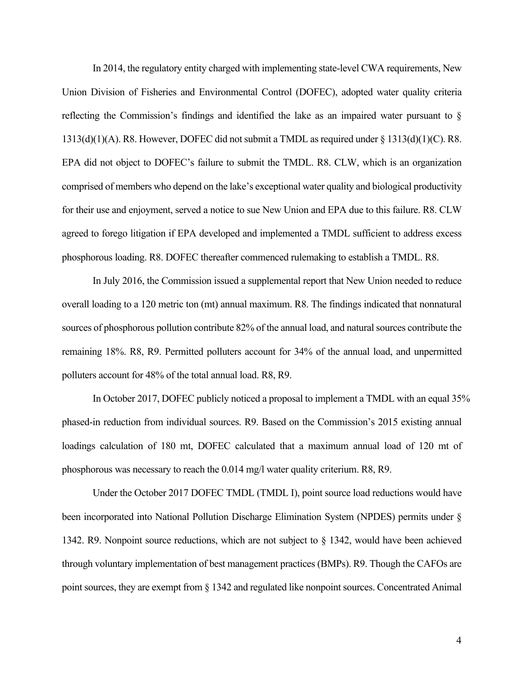In 2014, the regulatory entity charged with implementing state-level CWA requirements, New Union Division of Fisheries and Environmental Control (DOFEC), adopted water quality criteria reflecting the Commission's findings and identified the lake as an impaired water pursuant to §  $1313(d)(1)(A)$ . R8. However, DOFEC did not submit a TMDL as required under § 1313(d)(1)(C). R8. EPA did not object to DOFEC's failure to submit the TMDL. R8. CLW, which is an organization comprised of members who depend on the lake's exceptional water quality and biological productivity for their use and enjoyment, served a notice to sue New Union and EPA due to this failure. R8. CLW agreed to forego litigation if EPA developed and implemented a TMDL sufficient to address excess phosphorous loading. R8. DOFEC thereafter commenced rulemaking to establish a TMDL. R8.

In July 2016, the Commission issued a supplemental report that New Union needed to reduce overall loading to a 120 metric ton (mt) annual maximum. R8. The findings indicated that nonnatural sources of phosphorous pollution contribute 82% of the annual load, and natural sources contribute the remaining 18%. R8, R9. Permitted polluters account for 34% of the annual load, and unpermitted polluters account for 48% of the total annual load. R8, R9.

In October 2017, DOFEC publicly noticed a proposal to implement a TMDL with an equal 35% phased-in reduction from individual sources. R9. Based on the Commission's 2015 existing annual loadings calculation of 180 mt, DOFEC calculated that a maximum annual load of 120 mt of phosphorous was necessary to reach the 0.014 mg/l water quality criterium. R8, R9.

Under the October 2017 DOFEC TMDL (TMDL I), point source load reductions would have been incorporated into National Pollution Discharge Elimination System (NPDES) permits under § 1342. R9. Nonpoint source reductions, which are not subject to § 1342, would have been achieved through voluntary implementation of best management practices (BMPs). R9. Though the CAFOs are point sources, they are exempt from § 1342 and regulated like nonpoint sources. Concentrated Animal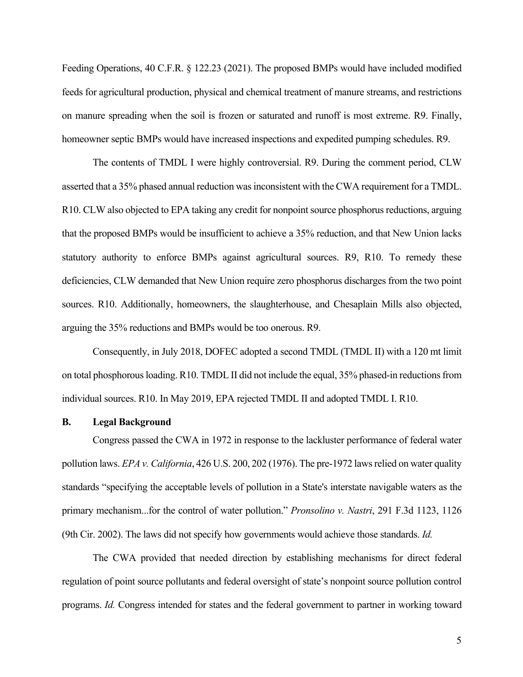Feeding Operations, 40 C.F.R. § 122.23 (2021). The proposed BMPs would have included modified feeds for agricultural production, physical and chemical treatment of manure streams, and restrictions on manure spreading when the soil is frozen or saturated and runoff is most extreme. R9. Finally, homeowner septic BMPs would have increased inspections and expedited pumping schedules. R9.

The contents of TMDL I were highly controversial. R9. During the comment period, CLW asserted that a 35% phased annual reduction was inconsistent with the CWA requirement for a TMDL. R10. CLW also objected to EPA taking any credit for nonpoint source phosphorus reductions, arguing that the proposed BMPs would be insufficient to achieve a 35% reduction, and that New Union lacks statutory authority to enforce BMPs against agricultural sources. R9, R10. To remedy these deficiencies, CLW demanded that New Union require zero phosphorus discharges from the two point sources. R10. Additionally, homeowners, the slaughterhouse, and Chesaplain Mills also objected, arguing the 35% reductions and BMPs would be too onerous. R9.

Consequently, in July 2018, DOFEC adopted a second TMDL (TMDL II) with a 120 mt limit on total phosphorous loading. R10. TMDL II did not include the equal, 35% phased-in reductions from individual sources. R10. In May 2019, EPA rejected TMDL II and adopted TMDL I. R10.

#### **B. Legal Background**

Congress passed the CWA in 1972 in response to the lackluster performance of federal water pollution laws. *EPA v. California*, 426 U.S. 200, 202 (1976). The pre-1972 laws relied on water quality standards "specifying the acceptable levels of pollution in a State's interstate navigable waters as the primary mechanism...for the control of water pollution." *Pronsolino v. Nastri*, 291 F.3d 1123, 1126 (9th Cir. 2002). The laws did not specify how governments would achieve those standards. *Id.*

The CWA provided that needed direction by establishing mechanisms for direct federal regulation of point source pollutants and federal oversight of state's nonpoint source pollution control programs. *Id.* Congress intended for states and the federal government to partner in working toward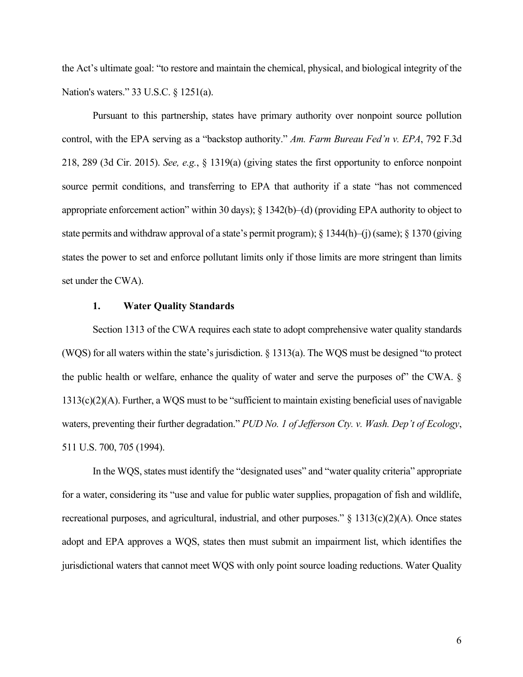the Act's ultimate goal: "to restore and maintain the chemical, physical, and biological integrity of the Nation's waters." 33 U.S.C. § 1251(a).

Pursuant to this partnership, states have primary authority over nonpoint source pollution control, with the EPA serving as a "backstop authority." *Am. Farm Bureau Fed'n v. EPA*, 792 F.3d 218, 289 (3d Cir. 2015). *See, e.g.*, § 1319(a) (giving states the first opportunity to enforce nonpoint source permit conditions, and transferring to EPA that authority if a state "has not commenced appropriate enforcement action" within 30 days); § 1342(b)–(d) (providing EPA authority to object to state permits and withdraw approval of a state's permit program); § 1344(h)–(j) (same); § 1370 (giving states the power to set and enforce pollutant limits only if those limits are more stringent than limits set under the CWA).

## **1. Water Quality Standards**

Section 1313 of the CWA requires each state to adopt comprehensive water quality standards (WQS) for all waters within the state's jurisdiction.  $\S$  1313(a). The WQS must be designed "to protect the public health or welfare, enhance the quality of water and serve the purposes of" the CWA. § 1313(c)(2)(A). Further, a WQS must to be "sufficient to maintain existing beneficial uses of navigable waters, preventing their further degradation." *PUD No. 1 of Jefferson Cty. v. Wash. Dep't of Ecology*, 511 U.S. 700, 705 (1994).

In the WQS, states must identify the "designated uses" and "water quality criteria" appropriate for a water, considering its "use and value for public water supplies, propagation of fish and wildlife, recreational purposes, and agricultural, industrial, and other purposes." § 1313(c)(2)(A). Once states adopt and EPA approves a WQS, states then must submit an impairment list, which identifies the jurisdictional waters that cannot meet WQS with only point source loading reductions. Water Quality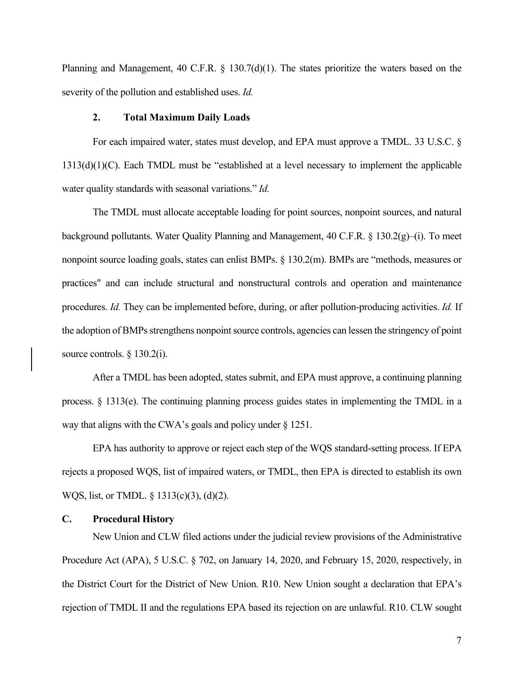Planning and Management, 40 C.F.R. § 130.7(d)(1). The states prioritize the waters based on the severity of the pollution and established uses. *Id.*

#### **2. Total Maximum Daily Loads**

For each impaired water, states must develop, and EPA must approve a TMDL. 33 U.S.C. § 1313(d)(1)(C). Each TMDL must be "established at a level necessary to implement the applicable water quality standards with seasonal variations." *Id.*

The TMDL must allocate acceptable loading for point sources, nonpoint sources, and natural background pollutants. Water Quality Planning and Management, 40 C.F.R. § 130.2(g)–(i). To meet nonpoint source loading goals, states can enlist BMPs. § 130.2(m). BMPs are "methods, measures or practices" and can include structural and nonstructural controls and operation and maintenance procedures. *Id.* They can be implemented before, during, or after pollution-producing activities. *Id.* If the adoption of BMPs strengthens nonpoint source controls, agencies can lessen the stringency of point source controls. § 130.2(i).

After a TMDL has been adopted, states submit, and EPA must approve, a continuing planning process.  $\S$  1313(e). The continuing planning process guides states in implementing the TMDL in a way that aligns with the CWA's goals and policy under § 1251.

EPA has authority to approve or reject each step of the WQS standard-setting process. If EPA rejects a proposed WQS, list of impaired waters, or TMDL, then EPA is directed to establish its own WQS, list, or TMDL. § 1313(c)(3), (d)(2).

#### **C. Procedural History**

New Union and CLW filed actions under the judicial review provisions of the Administrative Procedure Act (APA), 5 U.S.C. § 702, on January 14, 2020, and February 15, 2020, respectively, in the District Court for the District of New Union. R10. New Union sought a declaration that EPA's rejection of TMDL II and the regulations EPA based its rejection on are unlawful. R10. CLW sought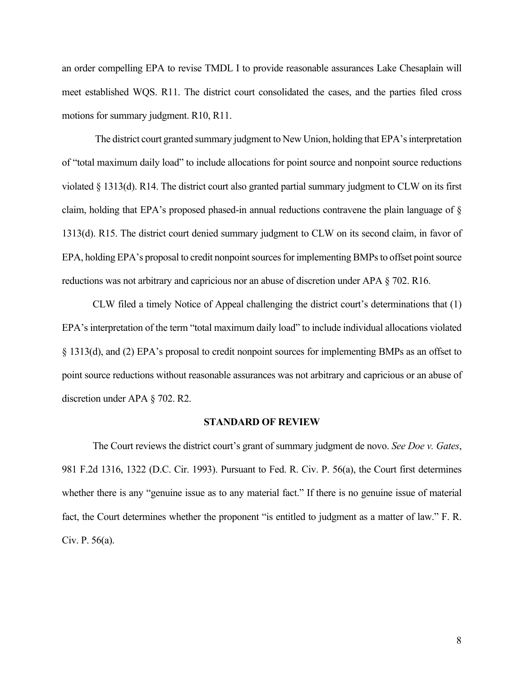an order compelling EPA to revise TMDL I to provide reasonable assurances Lake Chesaplain will meet established WQS. R11. The district court consolidated the cases, and the parties filed cross motions for summary judgment. R10, R11.

The district court granted summary judgment to New Union, holding that EPA's interpretation of "total maximum daily load" to include allocations for point source and nonpoint source reductions violated § 1313(d). R14. The district court also granted partial summary judgment to CLW on its first claim, holding that EPA's proposed phased-in annual reductions contravene the plain language of § 1313(d). R15. The district court denied summary judgment to CLW on its second claim, in favor of EPA, holding EPA's proposal to credit nonpoint sources for implementing BMPs to offset point source reductions was not arbitrary and capricious nor an abuse of discretion under APA § 702. R16.

CLW filed a timely Notice of Appeal challenging the district court's determinations that (1) EPA's interpretation of the term "total maximum daily load" to include individual allocations violated § 1313(d), and (2) EPA's proposal to credit nonpoint sources for implementing BMPs as an offset to point source reductions without reasonable assurances was not arbitrary and capricious or an abuse of discretion under APA § 702. R2.

#### **STANDARD OF REVIEW**

The Court reviews the district court's grant of summary judgment de novo. *See Doe v. Gates*, 981 F.2d 1316, 1322 (D.C. Cir. 1993). Pursuant to Fed. R. Civ. P. 56(a), the Court first determines whether there is any "genuine issue as to any material fact." If there is no genuine issue of material fact, the Court determines whether the proponent "is entitled to judgment as a matter of law." F. R. Civ. P. 56(a).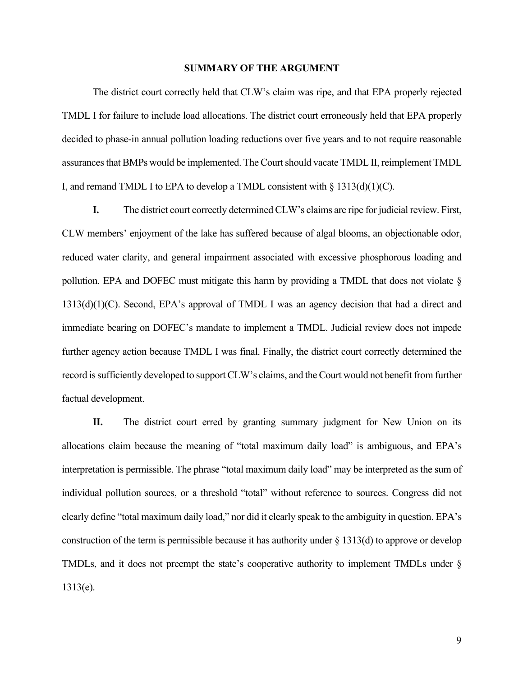#### **SUMMARY OF THE ARGUMENT**

The district court correctly held that CLW's claim was ripe, and that EPA properly rejected TMDL I for failure to include load allocations. The district court erroneously held that EPA properly decided to phase-in annual pollution loading reductions over five years and to not require reasonable assurances that BMPs would be implemented. The Court should vacate TMDL II, reimplement TMDL I, and remand TMDL I to EPA to develop a TMDL consistent with  $\S 1313(d)(1)(C)$ .

**I.** The district court correctly determined CLW's claims are ripe for judicial review. First, CLW members' enjoyment of the lake has suffered because of algal blooms, an objectionable odor, reduced water clarity, and general impairment associated with excessive phosphorous loading and pollution. EPA and DOFEC must mitigate this harm by providing a TMDL that does not violate §  $1313(d)(1)(C)$ . Second, EPA's approval of TMDL I was an agency decision that had a direct and immediate bearing on DOFEC's mandate to implement a TMDL. Judicial review does not impede further agency action because TMDL I was final. Finally, the district court correctly determined the record is sufficiently developed to support CLW's claims, and the Court would not benefit from further factual development.

**II.** The district court erred by granting summary judgment for New Union on its allocations claim because the meaning of "total maximum daily load" is ambiguous, and EPA's interpretation is permissible. The phrase "total maximum daily load" may be interpreted as the sum of individual pollution sources, or a threshold "total" without reference to sources. Congress did not clearly define "total maximum daily load," nor did it clearly speak to the ambiguity in question. EPA's construction of the term is permissible because it has authority under § 1313(d) to approve or develop TMDLs, and it does not preempt the state's cooperative authority to implement TMDLs under § 1313(e).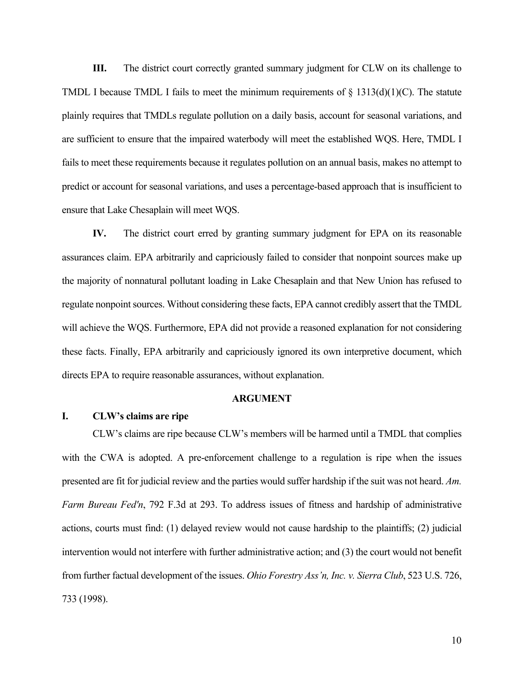**III.** The district court correctly granted summary judgment for CLW on its challenge to TMDL I because TMDL I fails to meet the minimum requirements of  $\S$  1313(d)(1)(C). The statute plainly requires that TMDLs regulate pollution on a daily basis, account for seasonal variations, and are sufficient to ensure that the impaired waterbody will meet the established WQS. Here, TMDL I fails to meet these requirements because it regulates pollution on an annual basis, makes no attempt to predict or account for seasonal variations, and uses a percentage-based approach that is insufficient to ensure that Lake Chesaplain will meet WQS.

**IV.** The district court erred by granting summary judgment for EPA on its reasonable assurances claim. EPA arbitrarily and capriciously failed to consider that nonpoint sources make up the majority of nonnatural pollutant loading in Lake Chesaplain and that New Union has refused to regulate nonpoint sources. Without considering these facts, EPA cannot credibly assert that the TMDL will achieve the WQS. Furthermore, EPA did not provide a reasoned explanation for not considering these facts. Finally, EPA arbitrarily and capriciously ignored its own interpretive document, which directs EPA to require reasonable assurances, without explanation.

#### **ARGUMENT**

#### **I. CLW's claims are ripe**

CLW's claims are ripe because CLW's members will be harmed until a TMDL that complies with the CWA is adopted. A pre-enforcement challenge to a regulation is ripe when the issues presented are fit for judicial review and the parties would suffer hardship if the suit was not heard. *Am. Farm Bureau Fed'n*, 792 F.3d at 293. To address issues of fitness and hardship of administrative actions, courts must find: (1) delayed review would not cause hardship to the plaintiffs; (2) judicial intervention would not interfere with further administrative action; and (3) the court would not benefit from further factual development of the issues. *Ohio Forestry Ass'n, Inc. v. Sierra Club*, 523 U.S. 726, 733 (1998).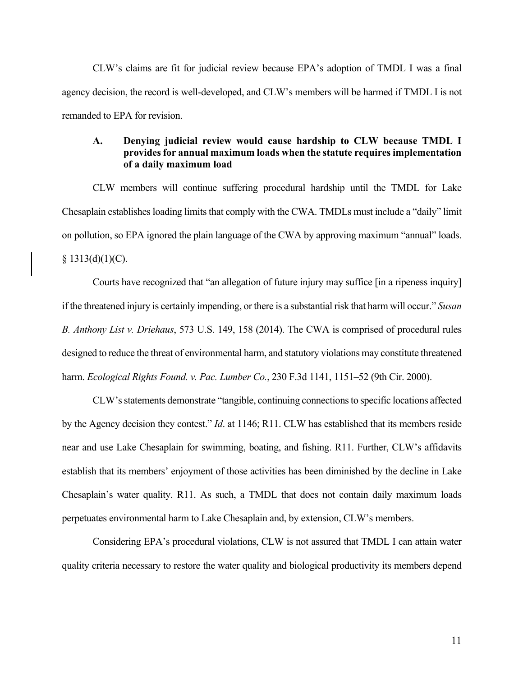CLW's claims are fit for judicial review because EPA's adoption of TMDL I was a final agency decision, the record is well-developed, and CLW's members will be harmed if TMDL I is not remanded to EPA for revision.

## **A. Denying judicial review would cause hardship to CLW because TMDL I provides for annual maximum loads when the statute requires implementation of a daily maximum load**

CLW members will continue suffering procedural hardship until the TMDL for Lake Chesaplain establishes loading limits that comply with the CWA. TMDLs must include a "daily" limit on pollution, so EPA ignored the plain language of the CWA by approving maximum "annual" loads.  $§$  1313(d)(1)(C).

Courts have recognized that "an allegation of future injury may suffice [in a ripeness inquiry] if the threatened injury is certainly impending, or there is a substantial risk that harm will occur." *Susan B. Anthony List v. Driehaus*, 573 U.S. 149, 158 (2014). The CWA is comprised of procedural rules designed to reduce the threat of environmental harm, and statutory violations may constitute threatened harm. *Ecological Rights Found. v. Pac. Lumber Co.*, 230 F.3d 1141, 1151–52 (9th Cir. 2000).

CLW's statements demonstrate "tangible, continuing connections to specific locations affected by the Agency decision they contest." *Id*. at 1146; R11. CLW has established that its members reside near and use Lake Chesaplain for swimming, boating, and fishing. R11. Further, CLW's affidavits establish that its members' enjoyment of those activities has been diminished by the decline in Lake Chesaplain's water quality. R11. As such, a TMDL that does not contain daily maximum loads perpetuates environmental harm to Lake Chesaplain and, by extension, CLW's members.

Considering EPA's procedural violations, CLW is not assured that TMDL I can attain water quality criteria necessary to restore the water quality and biological productivity its members depend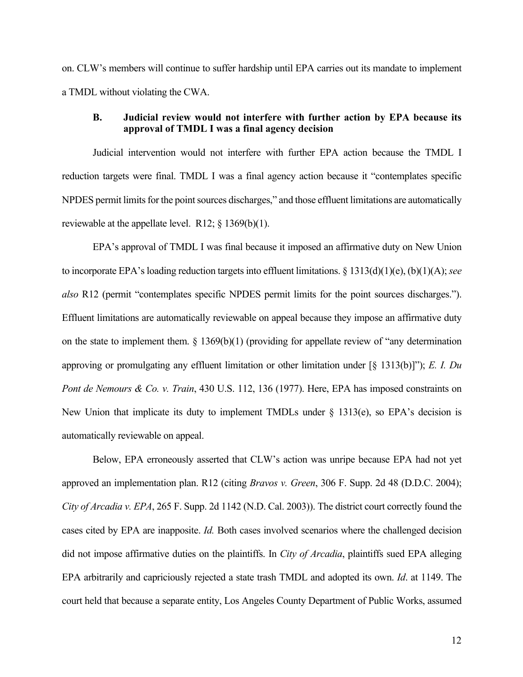on. CLW's members will continue to suffer hardship until EPA carries out its mandate to implement a TMDL without violating the CWA.

## **B. Judicial review would not interfere with further action by EPA because its approval of TMDL I was a final agency decision**

Judicial intervention would not interfere with further EPA action because the TMDL I reduction targets were final. TMDL I was a final agency action because it "contemplates specific NPDES permit limits for the point sources discharges," and those effluent limitations are automatically reviewable at the appellate level. R12;  $\S$  1369(b)(1).

EPA's approval of TMDL I was final because it imposed an affirmative duty on New Union to incorporate EPA's loading reduction targets into effluent limitations. § 1313(d)(1)(e), (b)(1)(A); *see also* R12 (permit "contemplates specific NPDES permit limits for the point sources discharges."). Effluent limitations are automatically reviewable on appeal because they impose an affirmative duty on the state to implement them.  $\S$  1369(b)(1) (providing for appellate review of "any determination approving or promulgating any effluent limitation or other limitation under [§ 1313(b)]"); *E. I. Du Pont de Nemours & Co. v. Train*, 430 U.S. 112, 136 (1977). Here, EPA has imposed constraints on New Union that implicate its duty to implement TMDLs under § 1313(e), so EPA's decision is automatically reviewable on appeal.

Below, EPA erroneously asserted that CLW's action was unripe because EPA had not yet approved an implementation plan. R12 (citing *Bravos v. Green*, 306 F. Supp. 2d 48 (D.D.C. 2004); *City of Arcadia v. EPA*, 265 F. Supp. 2d 1142 (N.D. Cal. 2003)). The district court correctly found the cases cited by EPA are inapposite. *Id.* Both cases involved scenarios where the challenged decision did not impose affirmative duties on the plaintiffs. In *City of Arcadia*, plaintiffs sued EPA alleging EPA arbitrarily and capriciously rejected a state trash TMDL and adopted its own. *Id*. at 1149. The court held that because a separate entity, Los Angeles County Department of Public Works, assumed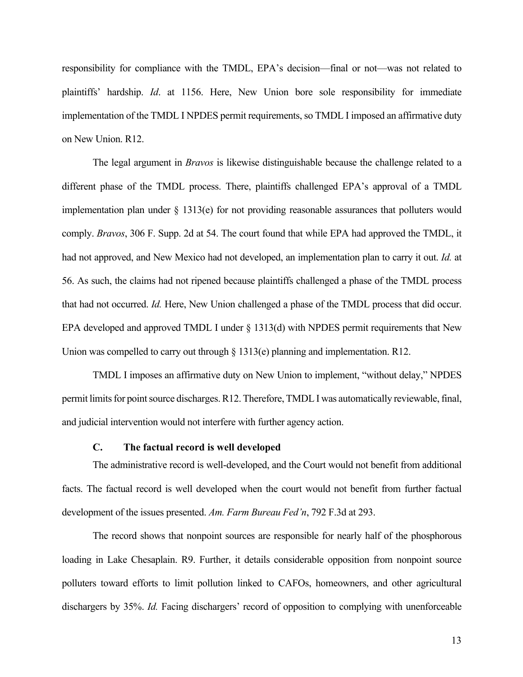responsibility for compliance with the TMDL, EPA's decision—final or not—was not related to plaintiffs' hardship. *Id*. at 1156. Here, New Union bore sole responsibility for immediate implementation of the TMDL I NPDES permit requirements, so TMDL I imposed an affirmative duty on New Union. R12.

The legal argument in *Bravos* is likewise distinguishable because the challenge related to a different phase of the TMDL process. There, plaintiffs challenged EPA's approval of a TMDL implementation plan under § 1313(e) for not providing reasonable assurances that polluters would comply. *Bravos*, 306 F. Supp. 2d at 54. The court found that while EPA had approved the TMDL, it had not approved, and New Mexico had not developed, an implementation plan to carry it out. *Id.* at 56. As such, the claims had not ripened because plaintiffs challenged a phase of the TMDL process that had not occurred. *Id.* Here, New Union challenged a phase of the TMDL process that did occur. EPA developed and approved TMDL I under § 1313(d) with NPDES permit requirements that New Union was compelled to carry out through § 1313(e) planning and implementation. R12.

TMDL I imposes an affirmative duty on New Union to implement, "without delay," NPDES permit limits for point source discharges. R12. Therefore, TMDL I was automatically reviewable, final, and judicial intervention would not interfere with further agency action.

### **C. The factual record is well developed**

The administrative record is well-developed, and the Court would not benefit from additional facts. The factual record is well developed when the court would not benefit from further factual development of the issues presented. *Am. Farm Bureau Fed'n*, 792 F.3d at 293.

The record shows that nonpoint sources are responsible for nearly half of the phosphorous loading in Lake Chesaplain. R9. Further, it details considerable opposition from nonpoint source polluters toward efforts to limit pollution linked to CAFOs, homeowners, and other agricultural dischargers by 35%. *Id.* Facing dischargers' record of opposition to complying with unenforceable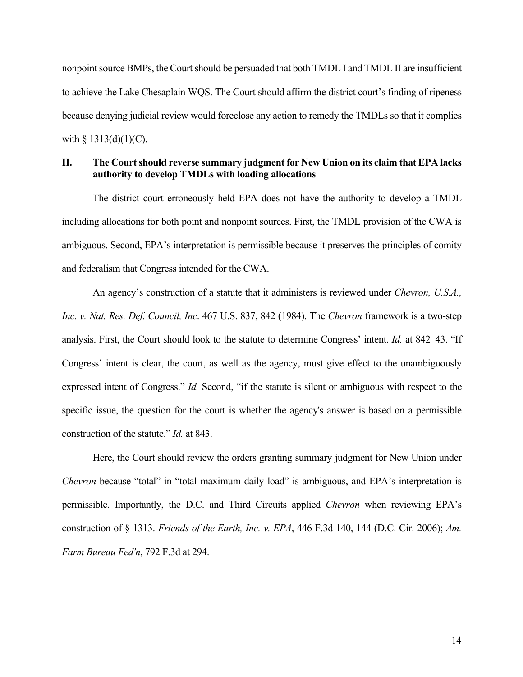nonpoint source BMPs, the Court should be persuaded that both TMDL I and TMDL II are insufficient to achieve the Lake Chesaplain WQS. The Court should affirm the district court's finding of ripeness because denying judicial review would foreclose any action to remedy the TMDLs so that it complies with  $\S$  1313(d)(1)(C).

## **II. The Court should reverse summary judgment for New Union on its claim that EPA lacks authority to develop TMDLs with loading allocations**

The district court erroneously held EPA does not have the authority to develop a TMDL including allocations for both point and nonpoint sources. First, the TMDL provision of the CWA is ambiguous. Second, EPA's interpretation is permissible because it preserves the principles of comity and federalism that Congress intended for the CWA.

An agency's construction of a statute that it administers is reviewed under *Chevron, U.S.A., Inc. v. Nat. Res. Def. Council, Inc*. 467 U.S. 837, 842 (1984). The *Chevron* framework is a two-step analysis. First, the Court should look to the statute to determine Congress' intent. *Id.* at 842–43. "If Congress' intent is clear, the court, as well as the agency, must give effect to the unambiguously expressed intent of Congress." *Id.* Second, "if the statute is silent or ambiguous with respect to the specific issue, the question for the court is whether the agency's answer is based on a permissible construction of the statute." *Id.* at 843.

Here, the Court should review the orders granting summary judgment for New Union under *Chevron* because "total" in "total maximum daily load" is ambiguous, and EPA's interpretation is permissible. Importantly, the D.C. and Third Circuits applied *Chevron* when reviewing EPA's construction of § 1313. *Friends of the Earth, Inc. v. EPA*, 446 F.3d 140, 144 (D.C. Cir. 2006); *Am. Farm Bureau Fed'n*, 792 F.3d at 294.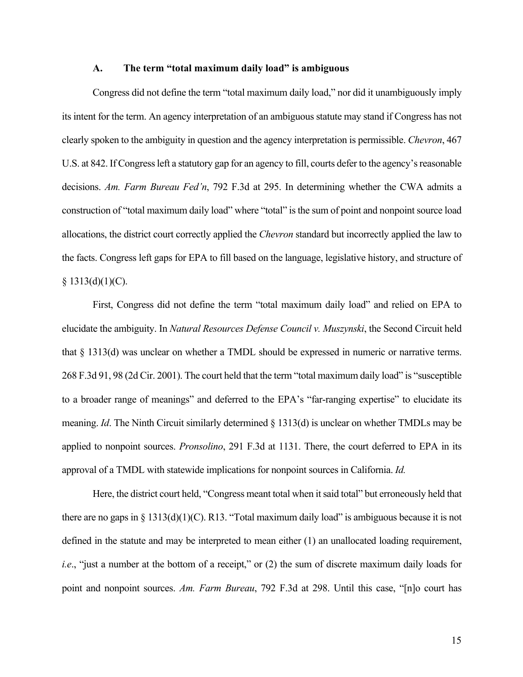#### **A. The term "total maximum daily load" is ambiguous**

Congress did not define the term "total maximum daily load," nor did it unambiguously imply its intent for the term. An agency interpretation of an ambiguous statute may stand if Congress has not clearly spoken to the ambiguity in question and the agency interpretation is permissible. *Chevron*, 467 U.S. at 842. If Congress left a statutory gap for an agency to fill, courts defer to the agency's reasonable decisions. *Am. Farm Bureau Fed'n*, 792 F.3d at 295. In determining whether the CWA admits a construction of "total maximum daily load" where "total" is the sum of point and nonpoint source load allocations, the district court correctly applied the *Chevron* standard but incorrectly applied the law to the facts. Congress left gaps for EPA to fill based on the language, legislative history, and structure of  $§ 1313(d)(1)(C).$ 

First, Congress did not define the term "total maximum daily load" and relied on EPA to elucidate the ambiguity. In *Natural Resources Defense Council v. Muszynski*, the Second Circuit held that § 1313(d) was unclear on whether a TMDL should be expressed in numeric or narrative terms. 268 F.3d 91, 98 (2d Cir. 2001). The court held that the term "total maximum daily load" is "susceptible to a broader range of meanings" and deferred to the EPA's "far-ranging expertise" to elucidate its meaning. *Id*. The Ninth Circuit similarly determined § 1313(d) is unclear on whether TMDLs may be applied to nonpoint sources. *Pronsolino*, 291 F.3d at 1131. There, the court deferred to EPA in its approval of a TMDL with statewide implications for nonpoint sources in California. *Id.*

Here, the district court held, "Congress meant total when it said total" but erroneously held that there are no gaps in § 1313(d)(1)(C). R13. "Total maximum daily load" is ambiguous because it is not defined in the statute and may be interpreted to mean either (1) an unallocated loading requirement, *i.e.*, "just a number at the bottom of a receipt," or (2) the sum of discrete maximum daily loads for point and nonpoint sources. *Am. Farm Bureau*, 792 F.3d at 298. Until this case, "[n]o court has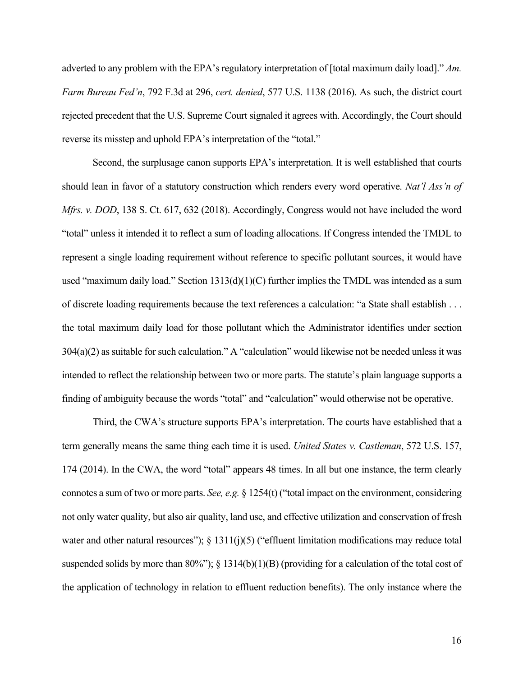adverted to any problem with the EPA's regulatory interpretation of [total maximum daily load]." *Am. Farm Bureau Fed'n*, 792 F.3d at 296, *cert. denied*, 577 U.S. 1138 (2016). As such, the district court rejected precedent that the U.S. Supreme Court signaled it agrees with. Accordingly, the Court should reverse its misstep and uphold EPA's interpretation of the "total."

Second, the surplusage canon supports EPA's interpretation. It is well established that courts should lean in favor of a statutory construction which renders every word operative. *Nat'l Ass'n of Mfrs. v. DOD*, 138 S. Ct. 617, 632 (2018). Accordingly, Congress would not have included the word "total" unless it intended it to reflect a sum of loading allocations. If Congress intended the TMDL to represent a single loading requirement without reference to specific pollutant sources, it would have used "maximum daily load." Section 1313(d)(1)(C) further implies the TMDL was intended as a sum of discrete loading requirements because the text references a calculation: "a State shall establish . . . the total maximum daily load for those pollutant which the Administrator identifies under section 304(a)(2) as suitable for such calculation." A "calculation" would likewise not be needed unless it was intended to reflect the relationship between two or more parts. The statute's plain language supports a finding of ambiguity because the words "total" and "calculation" would otherwise not be operative.

Third, the CWA's structure supports EPA's interpretation. The courts have established that a term generally means the same thing each time it is used. *United States v. Castleman*, 572 U.S. 157, 174 (2014). In the CWA, the word "total" appears 48 times. In all but one instance, the term clearly connotes a sum of two or more parts. *See, e.g.* § 1254(t) ("total impact on the environment, considering not only water quality, but also air quality, land use, and effective utilization and conservation of fresh water and other natural resources"); § 1311(j)(5) ("effluent limitation modifications may reduce total suspended solids by more than 80%"); § 1314(b)(1)(B) (providing for a calculation of the total cost of the application of technology in relation to effluent reduction benefits). The only instance where the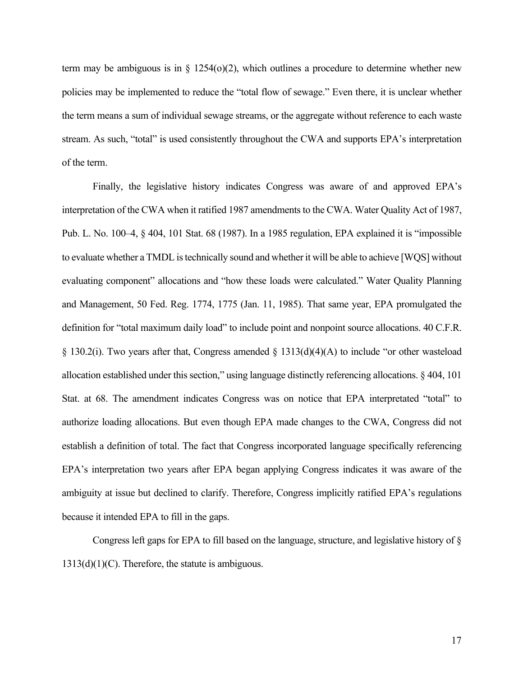term may be ambiguous is in  $\S$  1254(o)(2), which outlines a procedure to determine whether new policies may be implemented to reduce the "total flow of sewage." Even there, it is unclear whether the term means a sum of individual sewage streams, or the aggregate without reference to each waste stream. As such, "total" is used consistently throughout the CWA and supports EPA's interpretation of the term.

Finally, the legislative history indicates Congress was aware of and approved EPA's interpretation of the CWA when it ratified 1987 amendments to the CWA. Water Quality Act of 1987, Pub. L. No. 100–4, § 404, 101 Stat. 68 (1987). In a 1985 regulation, EPA explained it is "impossible to evaluate whether a TMDL is technically sound and whether it will be able to achieve [WQS] without evaluating component" allocations and "how these loads were calculated." Water Quality Planning and Management, 50 Fed. Reg. 1774, 1775 (Jan. 11, 1985). That same year, EPA promulgated the definition for "total maximum daily load" to include point and nonpoint source allocations. 40 C.F.R. § 130.2(i). Two years after that, Congress amended § 1313(d)(4)(A) to include "or other wasteload allocation established under this section," using language distinctly referencing allocations. § 404, 101 Stat. at 68. The amendment indicates Congress was on notice that EPA interpretated "total" to authorize loading allocations. But even though EPA made changes to the CWA, Congress did not establish a definition of total. The fact that Congress incorporated language specifically referencing EPA's interpretation two years after EPA began applying Congress indicates it was aware of the ambiguity at issue but declined to clarify. Therefore, Congress implicitly ratified EPA's regulations because it intended EPA to fill in the gaps.

Congress left gaps for EPA to fill based on the language, structure, and legislative history of §  $1313(d)(1)(C)$ . Therefore, the statute is ambiguous.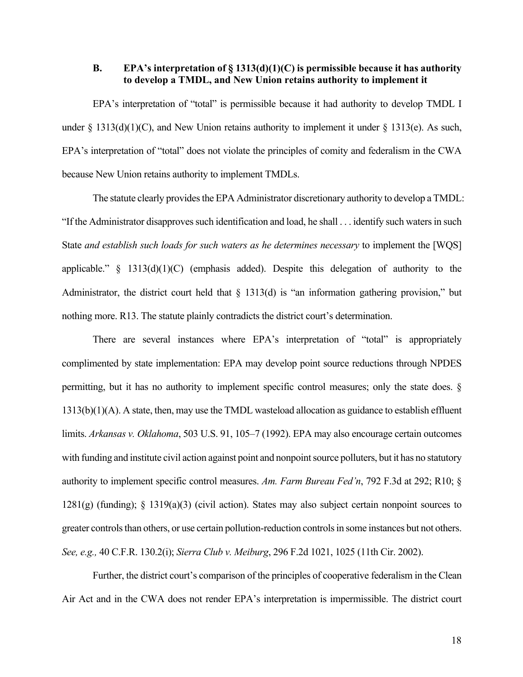## **B. EPA's interpretation of § 1313(d)(1)(C) is permissible because it has authority to develop a TMDL, and New Union retains authority to implement it**

EPA's interpretation of "total" is permissible because it had authority to develop TMDL I under  $\S 1313(d)(1)(C)$ , and New Union retains authority to implement it under  $\S 1313(e)$ . As such, EPA's interpretation of "total" does not violate the principles of comity and federalism in the CWA because New Union retains authority to implement TMDLs.

The statute clearly provides the EPA Administrator discretionary authority to develop a TMDL: "If the Administrator disapproves such identification and load, he shall . . . identify such waters in such State *and establish such loads for such waters as he determines necessary* to implement the [WQS] applicable."  $\S$  1313(d)(1)(C) (emphasis added). Despite this delegation of authority to the Administrator, the district court held that  $\S$  1313(d) is "an information gathering provision," but nothing more. R13. The statute plainly contradicts the district court's determination.

There are several instances where EPA's interpretation of "total" is appropriately complimented by state implementation: EPA may develop point source reductions through NPDES permitting, but it has no authority to implement specific control measures; only the state does. § 1313(b)(1)(A). A state, then, may use the TMDL wasteload allocation as guidance to establish effluent limits. *Arkansas v. Oklahoma*, 503 U.S. 91, 105–7 (1992). EPA may also encourage certain outcomes with funding and institute civil action against point and nonpoint source polluters, but it has no statutory authority to implement specific control measures. *Am. Farm Bureau Fed'n*, 792 F.3d at 292; R10; §  $1281(g)$  (funding); § 1319(a)(3) (civil action). States may also subject certain nonpoint sources to greater controls than others, or use certain pollution-reduction controls in some instances but not others. *See, e.g.,* 40 C.F.R. 130.2(i); *Sierra Club v. Meiburg*, 296 F.2d 1021, 1025 (11th Cir. 2002).

Further, the district court's comparison of the principles of cooperative federalism in the Clean Air Act and in the CWA does not render EPA's interpretation is impermissible. The district court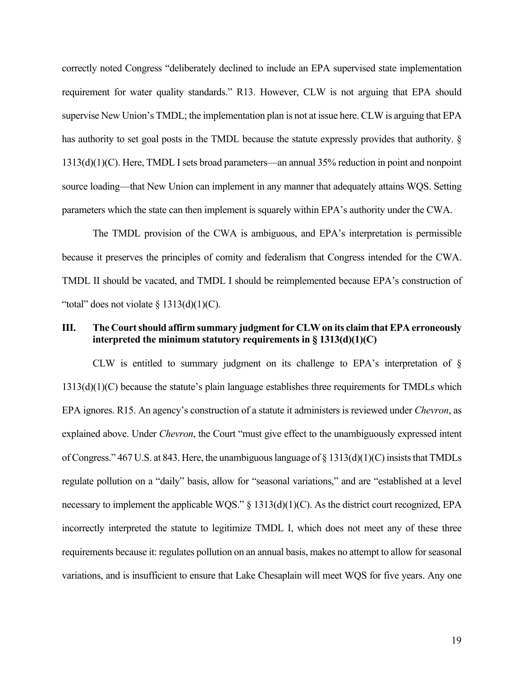correctly noted Congress "deliberately declined to include an EPA supervised state implementation requirement for water quality standards." R13. However, CLW is not arguing that EPA should supervise New Union's TMDL; the implementation plan is not at issue here. CLW is arguing that EPA has authority to set goal posts in the TMDL because the statute expressly provides that authority. § 1313(d)(1)(C). Here, TMDL I sets broad parameters—an annual 35% reduction in point and nonpoint source loading—that New Union can implement in any manner that adequately attains WQS. Setting parameters which the state can then implement is squarely within EPA's authority under the CWA.

The TMDL provision of the CWA is ambiguous, and EPA's interpretation is permissible because it preserves the principles of comity and federalism that Congress intended for the CWA. TMDL II should be vacated, and TMDL I should be reimplemented because EPA's construction of "total" does not violate  $\S$  1313(d)(1)(C).

## **III. The Court should affirm summary judgment for CLW on its claim that EPA erroneously interpreted the minimum statutory requirements in § 1313(d)(1)(C)**

CLW is entitled to summary judgment on its challenge to EPA's interpretation of  $\S$  $1313(d)(1)(C)$  because the statute's plain language establishes three requirements for TMDLs which EPA ignores. R15. An agency's construction of a statute it administers is reviewed under *Chevron*, as explained above. Under *Chevron*, the Court "must give effect to the unambiguously expressed intent of Congress."  $467$  U.S. at 843. Here, the unambiguous language of § 1313(d)(1)(C) insists that TMDLs regulate pollution on a "daily" basis, allow for "seasonal variations," and are "established at a level necessary to implement the applicable WQS." § 1313(d)(1)(C). As the district court recognized, EPA incorrectly interpreted the statute to legitimize TMDL I, which does not meet any of these three requirements because it: regulates pollution on an annual basis, makes no attempt to allow for seasonal variations, and is insufficient to ensure that Lake Chesaplain will meet WQS for five years. Any one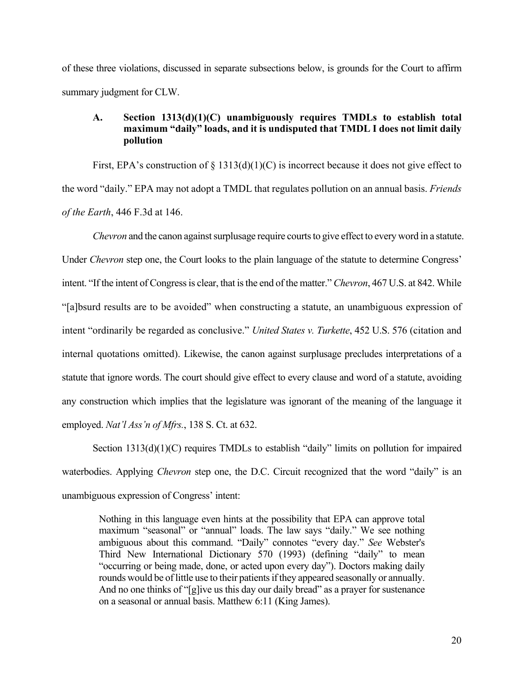of these three violations, discussed in separate subsections below, is grounds for the Court to affirm summary judgment for CLW.

## **A. Section 1313(d)(1)(C) unambiguously requires TMDLs to establish total maximum "daily" loads, and it is undisputed that TMDL I does not limit daily pollution**

First, EPA's construction of  $\S$  1313(d)(1)(C) is incorrect because it does not give effect to the word "daily." EPA may not adopt a TMDL that regulates pollution on an annual basis. *Friends of the Earth*, 446 F.3d at 146.

*Chevron* and the canon against surplusage require courts to give effect to every word in a statute. Under *Chevron* step one, the Court looks to the plain language of the statute to determine Congress' intent. "If the intent of Congress is clear, that is the end of the matter." *Chevron*, 467 U.S. at 842. While "[a]bsurd results are to be avoided" when constructing a statute, an unambiguous expression of intent "ordinarily be regarded as conclusive." *United States v. Turkette*, 452 U.S. 576 (citation and internal quotations omitted). Likewise, the canon against surplusage precludes interpretations of a statute that ignore words. The court should give effect to every clause and word of a statute, avoiding any construction which implies that the legislature was ignorant of the meaning of the language it employed. *Nat'l Ass'n of Mfrs.*, 138 S. Ct. at 632.

Section 1313(d)(1)(C) requires TMDLs to establish "daily" limits on pollution for impaired waterbodies. Applying *Chevron* step one, the D.C. Circuit recognized that the word "daily" is an unambiguous expression of Congress' intent:

Nothing in this language even hints at the possibility that EPA can approve total maximum "seasonal" or "annual" loads. The law says "daily." We see nothing ambiguous about this command. "Daily" connotes "every day." *See* Webster's Third New International Dictionary 570 (1993) (defining "daily" to mean "occurring or being made, done, or acted upon every day"). Doctors making daily rounds would be of little use to their patients if they appeared seasonally or annually. And no one thinks of "[g]ive us this day our daily bread" as a prayer for sustenance on a seasonal or annual basis. Matthew 6:11 (King James).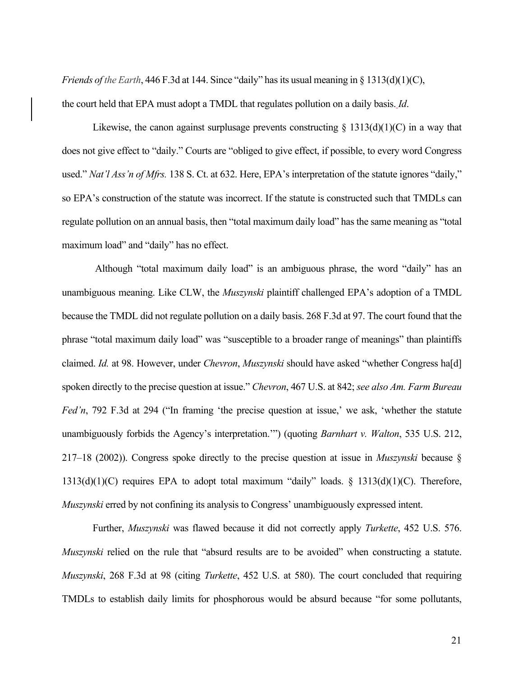*Friends of the Earth*, 446 F.3d at 144. Since "daily" has its usual meaning in § 1313(d)(1)(C),

the court held that EPA must adopt a TMDL that regulates pollution on a daily basis. *Id*.

Likewise, the canon against surplusage prevents constructing  $\S 1313(d)(1)(C)$  in a way that does not give effect to "daily." Courts are "obliged to give effect, if possible, to every word Congress used." *Nat'l Ass'n of Mfrs.* 138 S. Ct. at 632. Here, EPA's interpretation of the statute ignores "daily," so EPA's construction of the statute was incorrect. If the statute is constructed such that TMDLs can regulate pollution on an annual basis, then "total maximum daily load" has the same meaning as "total maximum load" and "daily" has no effect.

Although "total maximum daily load" is an ambiguous phrase, the word "daily" has an unambiguous meaning. Like CLW, the *Muszynski* plaintiff challenged EPA's adoption of a TMDL because the TMDL did not regulate pollution on a daily basis. 268 F.3d at 97. The court found that the phrase "total maximum daily load" was "susceptible to a broader range of meanings" than plaintiffs claimed. *Id.* at 98. However, under *Chevron*, *Muszynski* should have asked "whether Congress ha[d] spoken directly to the precise question at issue." *Chevron*, 467 U.S. at 842; *see also Am. Farm Bureau Fed'n*, 792 F.3d at 294 ("In framing 'the precise question at issue,' we ask, 'whether the statute unambiguously forbids the Agency's interpretation.'") (quoting *Barnhart v. Walton*, 535 U.S. 212, 217–18 (2002)). Congress spoke directly to the precise question at issue in *Muszynski* because §  $1313(d)(1)(C)$  requires EPA to adopt total maximum "daily" loads. §  $1313(d)(1)(C)$ . Therefore, *Muszynski* erred by not confining its analysis to Congress' unambiguously expressed intent.

Further, *Muszynski* was flawed because it did not correctly apply *Turkette*, 452 U.S. 576. *Muszynski* relied on the rule that "absurd results are to be avoided" when constructing a statute. *Muszynski*, 268 F.3d at 98 (citing *Turkette*, 452 U.S. at 580). The court concluded that requiring TMDLs to establish daily limits for phosphorous would be absurd because "for some pollutants,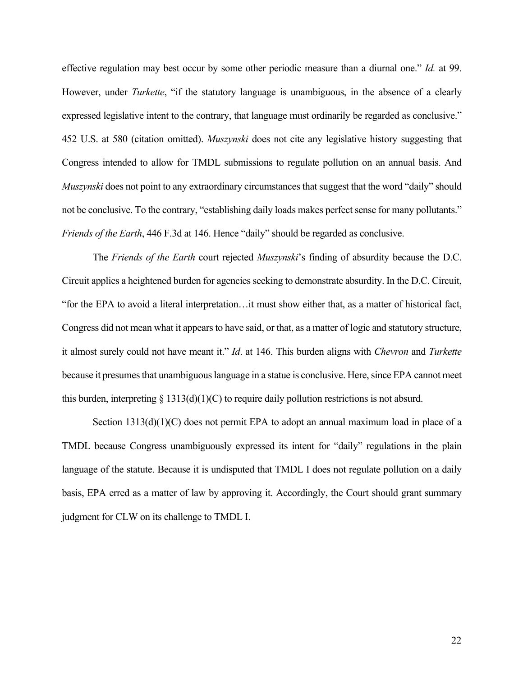effective regulation may best occur by some other periodic measure than a diurnal one." *Id.* at 99. However, under *Turkette*, "if the statutory language is unambiguous, in the absence of a clearly expressed legislative intent to the contrary, that language must ordinarily be regarded as conclusive." 452 U.S. at 580 (citation omitted). *Muszynski* does not cite any legislative history suggesting that Congress intended to allow for TMDL submissions to regulate pollution on an annual basis. And *Muszynski* does not point to any extraordinary circumstances that suggest that the word "daily" should not be conclusive. To the contrary, "establishing daily loads makes perfect sense for many pollutants." *Friends of the Earth*, 446 F.3d at 146. Hence "daily" should be regarded as conclusive.

The *Friends of the Earth* court rejected *Muszynski*'s finding of absurdity because the D.C. Circuit applies a heightened burden for agencies seeking to demonstrate absurdity. In the D.C. Circuit, "for the EPA to avoid a literal interpretation…it must show either that, as a matter of historical fact, Congress did not mean what it appears to have said, or that, as a matter of logic and statutory structure, it almost surely could not have meant it." *Id*. at 146. This burden aligns with *Chevron* and *Turkette* because it presumes that unambiguous language in a statue is conclusive. Here, since EPA cannot meet this burden, interpreting  $\S$  1313(d)(1)(C) to require daily pollution restrictions is not absurd.

Section 1313(d)(1)(C) does not permit EPA to adopt an annual maximum load in place of a TMDL because Congress unambiguously expressed its intent for "daily" regulations in the plain language of the statute. Because it is undisputed that TMDL I does not regulate pollution on a daily basis, EPA erred as a matter of law by approving it. Accordingly, the Court should grant summary judgment for CLW on its challenge to TMDL I.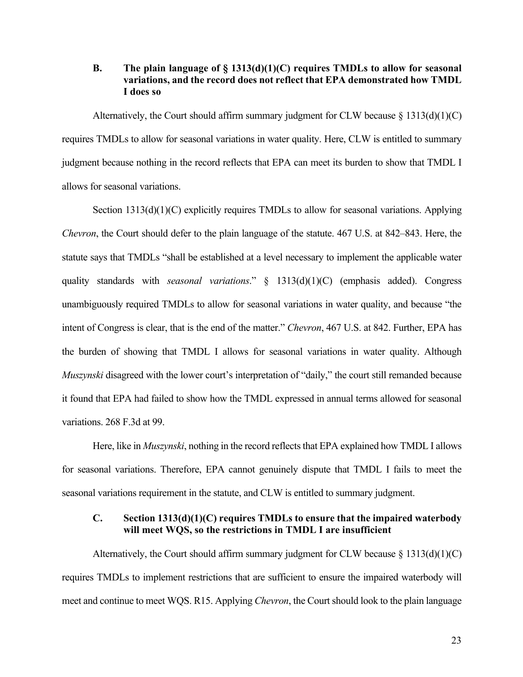## **B. The plain language of § 1313(d)(1)(C) requires TMDLs to allow for seasonal variations, and the record does not reflect that EPA demonstrated how TMDL I does so**

Alternatively, the Court should affirm summary judgment for CLW because  $\S 1313(d)(1)(C)$ requires TMDLs to allow for seasonal variations in water quality. Here, CLW is entitled to summary judgment because nothing in the record reflects that EPA can meet its burden to show that TMDL I allows for seasonal variations.

Section 1313(d)(1)(C) explicitly requires TMDLs to allow for seasonal variations. Applying *Chevron*, the Court should defer to the plain language of the statute. 467 U.S. at 842–843. Here, the statute says that TMDLs "shall be established at a level necessary to implement the applicable water quality standards with *seasonal variations*." § 1313(d)(1)(C) (emphasis added). Congress unambiguously required TMDLs to allow for seasonal variations in water quality, and because "the intent of Congress is clear, that is the end of the matter." *Chevron*, 467 U.S. at 842. Further, EPA has the burden of showing that TMDL I allows for seasonal variations in water quality. Although *Muszynski* disagreed with the lower court's interpretation of "daily," the court still remanded because it found that EPA had failed to show how the TMDL expressed in annual terms allowed for seasonal variations. 268 F.3d at 99.

Here, like in *Muszynski*, nothing in the record reflects that EPA explained how TMDL I allows for seasonal variations. Therefore, EPA cannot genuinely dispute that TMDL I fails to meet the seasonal variations requirement in the statute, and CLW is entitled to summary judgment.

## **C. Section 1313(d)(1)(C) requires TMDLs to ensure that the impaired waterbody will meet WQS, so the restrictions in TMDL I are insufficient**

Alternatively, the Court should affirm summary judgment for CLW because  $\S$  1313(d)(1)(C) requires TMDLs to implement restrictions that are sufficient to ensure the impaired waterbody will meet and continue to meet WQS. R15. Applying *Chevron*, the Court should look to the plain language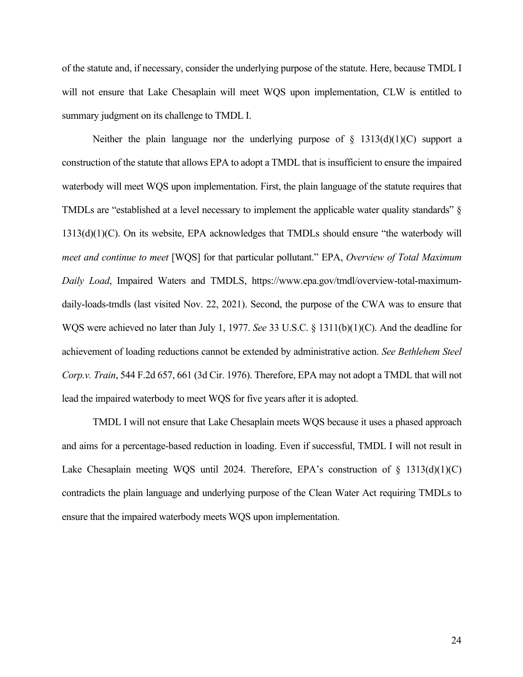of the statute and, if necessary, consider the underlying purpose of the statute. Here, because TMDL I will not ensure that Lake Chesaplain will meet WQS upon implementation, CLW is entitled to summary judgment on its challenge to TMDL I.

Neither the plain language nor the underlying purpose of  $\S$  1313(d)(1)(C) support a construction of the statute that allows EPA to adopt a TMDL that is insufficient to ensure the impaired waterbody will meet WQS upon implementation. First, the plain language of the statute requires that TMDLs are "established at a level necessary to implement the applicable water quality standards" § 1313(d)(1)(C). On its website, EPA acknowledges that TMDLs should ensure "the waterbody will *meet and continue to meet* [WQS] for that particular pollutant." EPA, *Overview of Total Maximum Daily Load*, Impaired Waters and TMDLS, https://www.epa.gov/tmdl/overview-total-maximumdaily-loads-tmdls (last visited Nov. 22, 2021). Second, the purpose of the CWA was to ensure that WQS were achieved no later than July 1, 1977. *See* 33 U.S.C. § 1311(b)(1)(C). And the deadline for achievement of loading reductions cannot be extended by administrative action. *See Bethlehem Steel Corp.v. Train*, 544 F.2d 657, 661 (3d Cir. 1976). Therefore, EPA may not adopt a TMDL that will not lead the impaired waterbody to meet WQS for five years after it is adopted.

TMDL I will not ensure that Lake Chesaplain meets WQS because it uses a phased approach and aims for a percentage-based reduction in loading. Even if successful, TMDL I will not result in Lake Chesaplain meeting WQS until 2024. Therefore, EPA's construction of  $\S$  1313(d)(1)(C) contradicts the plain language and underlying purpose of the Clean Water Act requiring TMDLs to ensure that the impaired waterbody meets WQS upon implementation.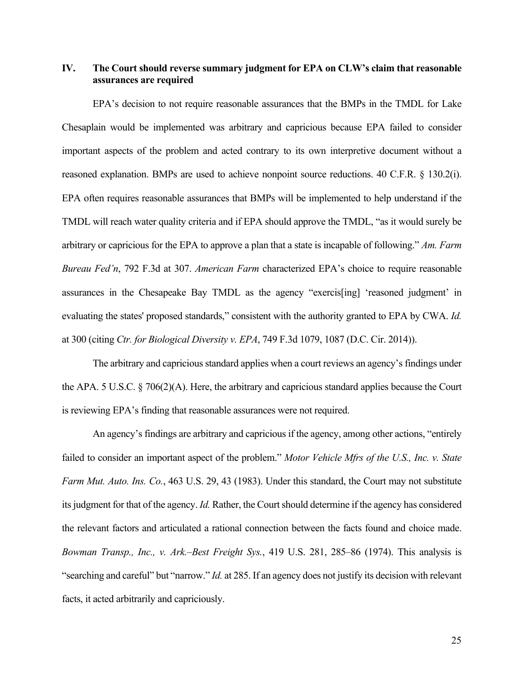## **IV. The Court should reverse summary judgment for EPA on CLW's claim that reasonable assurances are required**

EPA's decision to not require reasonable assurances that the BMPs in the TMDL for Lake Chesaplain would be implemented was arbitrary and capricious because EPA failed to consider important aspects of the problem and acted contrary to its own interpretive document without a reasoned explanation. BMPs are used to achieve nonpoint source reductions. 40 C.F.R. § 130.2(i). EPA often requires reasonable assurances that BMPs will be implemented to help understand if the TMDL will reach water quality criteria and if EPA should approve the TMDL, "as it would surely be arbitrary or capricious for the EPA to approve a plan that a state is incapable of following." *Am. Farm Bureau Fed'n*, 792 F.3d at 307. *American Farm* characterized EPA's choice to require reasonable assurances in the Chesapeake Bay TMDL as the agency "exercis[ing] 'reasoned judgment' in evaluating the states' proposed standards," consistent with the authority granted to EPA by CWA. *Id.* at 300 (citing *Ctr. for Biological Diversity v. EPA*, 749 F.3d 1079, 1087 (D.C. Cir. 2014)).

The arbitrary and capricious standard applies when a court reviews an agency's findings under the APA. 5 U.S.C. § 706(2)(A). Here, the arbitrary and capricious standard applies because the Court is reviewing EPA's finding that reasonable assurances were not required.

An agency's findings are arbitrary and capricious if the agency, among other actions, "entirely failed to consider an important aspect of the problem." *Motor Vehicle Mfrs of the U.S., Inc. v. State Farm Mut. Auto. Ins. Co.*, 463 U.S. 29, 43 (1983). Under this standard, the Court may not substitute its judgment for that of the agency. *Id.* Rather, the Court should determine if the agency has considered the relevant factors and articulated a rational connection between the facts found and choice made. *Bowman Transp., Inc., v. Ark.–Best Freight Sys.*, 419 U.S. 281, 285–86 (1974). This analysis is "searching and careful" but "narrow." *Id.* at 285. If an agency does not justify its decision with relevant facts, it acted arbitrarily and capriciously.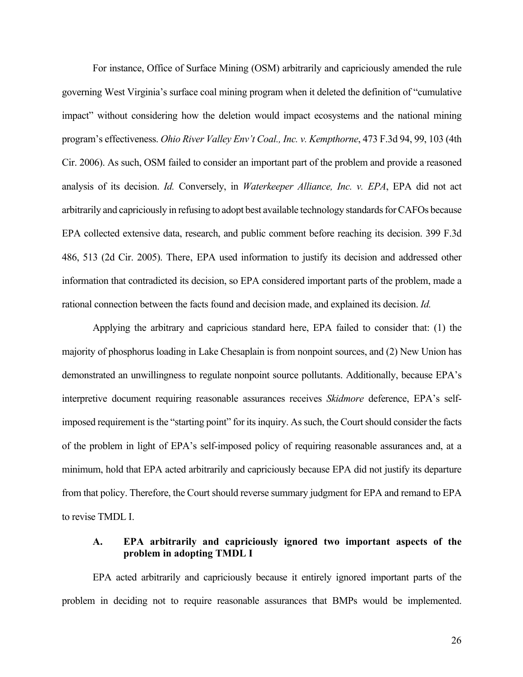For instance, Office of Surface Mining (OSM) arbitrarily and capriciously amended the rule governing West Virginia's surface coal mining program when it deleted the definition of "cumulative impact" without considering how the deletion would impact ecosystems and the national mining program's effectiveness. *Ohio River Valley Env't Coal., Inc. v. Kempthorne*, 473 F.3d 94, 99, 103 (4th Cir. 2006). As such, OSM failed to consider an important part of the problem and provide a reasoned analysis of its decision. *Id.* Conversely, in *Waterkeeper Alliance, Inc. v. EPA*, EPA did not act arbitrarily and capriciously in refusing to adopt best available technology standards forCAFOs because EPA collected extensive data, research, and public comment before reaching its decision. 399 F.3d 486, 513 (2d Cir. 2005). There, EPA used information to justify its decision and addressed other information that contradicted its decision, so EPA considered important parts of the problem, made a rational connection between the facts found and decision made, and explained its decision. *Id.*

Applying the arbitrary and capricious standard here, EPA failed to consider that: (1) the majority of phosphorus loading in Lake Chesaplain is from nonpoint sources, and (2) New Union has demonstrated an unwillingness to regulate nonpoint source pollutants. Additionally, because EPA's interpretive document requiring reasonable assurances receives *Skidmore* deference, EPA's selfimposed requirement is the "starting point" for its inquiry. As such, the Court should consider the facts of the problem in light of EPA's self-imposed policy of requiring reasonable assurances and, at a minimum, hold that EPA acted arbitrarily and capriciously because EPA did not justify its departure from that policy. Therefore, the Court should reverse summary judgment for EPA and remand to EPA to revise TMDL I.

## **A. EPA arbitrarily and capriciously ignored two important aspects of the problem in adopting TMDL I**

EPA acted arbitrarily and capriciously because it entirely ignored important parts of the problem in deciding not to require reasonable assurances that BMPs would be implemented.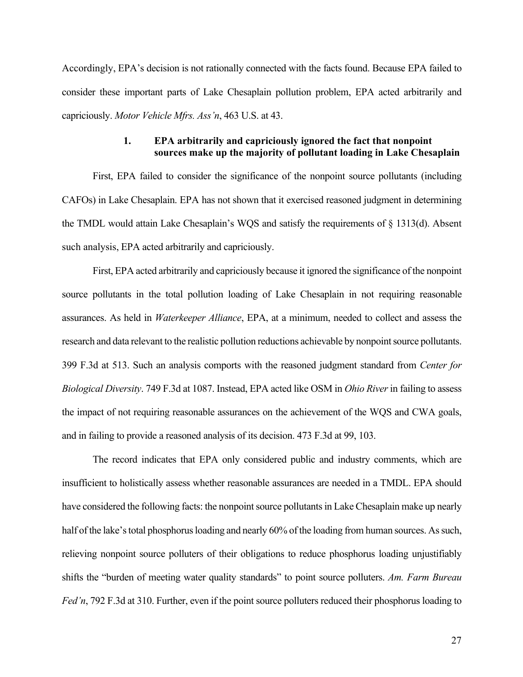Accordingly, EPA's decision is not rationally connected with the facts found. Because EPA failed to consider these important parts of Lake Chesaplain pollution problem, EPA acted arbitrarily and capriciously. *Motor Vehicle Mfrs. Ass'n*, 463 U.S. at 43.

## **1. EPA arbitrarily and capriciously ignored the fact that nonpoint sources make up the majority of pollutant loading in Lake Chesaplain**

First, EPA failed to consider the significance of the nonpoint source pollutants (including CAFOs) in Lake Chesaplain. EPA has not shown that it exercised reasoned judgment in determining the TMDL would attain Lake Chesaplain's WQS and satisfy the requirements of § 1313(d). Absent such analysis, EPA acted arbitrarily and capriciously.

First, EPA acted arbitrarily and capriciously because it ignored the significance of the nonpoint source pollutants in the total pollution loading of Lake Chesaplain in not requiring reasonable assurances. As held in *Waterkeeper Alliance*, EPA, at a minimum, needed to collect and assess the research and data relevant to the realistic pollution reductions achievable by nonpoint source pollutants. 399 F.3d at 513. Such an analysis comports with the reasoned judgment standard from *Center for Biological Diversity*. 749 F.3d at 1087. Instead, EPA acted like OSM in *Ohio River* in failing to assess the impact of not requiring reasonable assurances on the achievement of the WQS and CWA goals, and in failing to provide a reasoned analysis of its decision. 473 F.3d at 99, 103.

The record indicates that EPA only considered public and industry comments, which are insufficient to holistically assess whether reasonable assurances are needed in a TMDL. EPA should have considered the following facts: the nonpoint source pollutants in Lake Chesaplain make up nearly half of the lake's total phosphorus loading and nearly 60% of the loading from human sources. As such, relieving nonpoint source polluters of their obligations to reduce phosphorus loading unjustifiably shifts the "burden of meeting water quality standards" to point source polluters. *Am. Farm Bureau Fed'n*, 792 F.3d at 310. Further, even if the point source polluters reduced their phosphorus loading to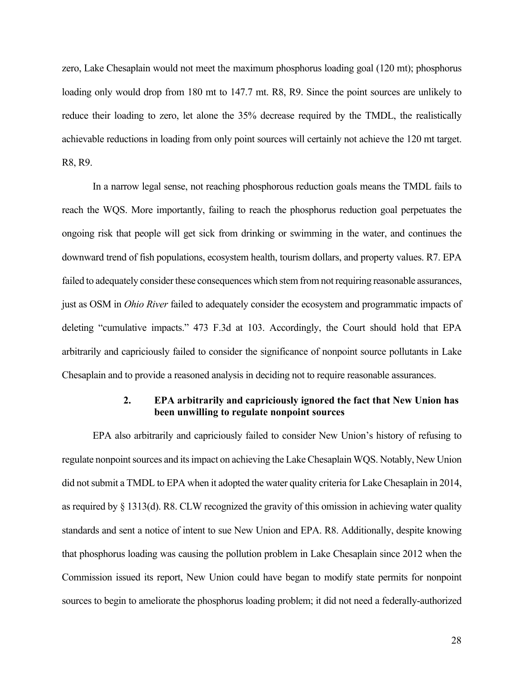zero, Lake Chesaplain would not meet the maximum phosphorus loading goal (120 mt); phosphorus loading only would drop from 180 mt to 147.7 mt. R8, R9. Since the point sources are unlikely to reduce their loading to zero, let alone the 35% decrease required by the TMDL, the realistically achievable reductions in loading from only point sources will certainly not achieve the 120 mt target. R8, R9.

In a narrow legal sense, not reaching phosphorous reduction goals means the TMDL fails to reach the WQS. More importantly, failing to reach the phosphorus reduction goal perpetuates the ongoing risk that people will get sick from drinking or swimming in the water, and continues the downward trend of fish populations, ecosystem health, tourism dollars, and property values. R7. EPA failed to adequately consider these consequences which stem from not requiring reasonable assurances, just as OSM in *Ohio River* failed to adequately consider the ecosystem and programmatic impacts of deleting "cumulative impacts." 473 F.3d at 103. Accordingly, the Court should hold that EPA arbitrarily and capriciously failed to consider the significance of nonpoint source pollutants in Lake Chesaplain and to provide a reasoned analysis in deciding not to require reasonable assurances.

## **2. EPA arbitrarily and capriciously ignored the fact that New Union has been unwilling to regulate nonpoint sources**

EPA also arbitrarily and capriciously failed to consider New Union's history of refusing to regulate nonpoint sources and its impact on achieving the Lake Chesaplain WQS. Notably, New Union did not submit a TMDL to EPA when it adopted the water quality criteria for Lake Chesaplain in 2014, as required by § 1313(d). R8. CLW recognized the gravity of this omission in achieving water quality standards and sent a notice of intent to sue New Union and EPA. R8. Additionally, despite knowing that phosphorus loading was causing the pollution problem in Lake Chesaplain since 2012 when the Commission issued its report, New Union could have began to modify state permits for nonpoint sources to begin to ameliorate the phosphorus loading problem; it did not need a federally-authorized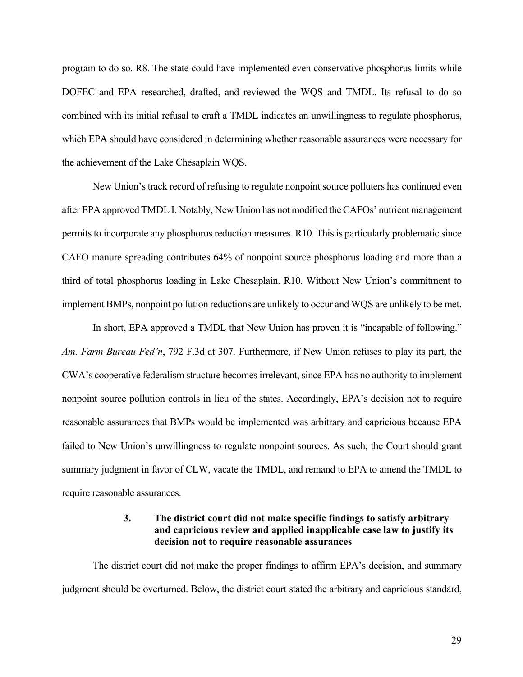program to do so. R8. The state could have implemented even conservative phosphorus limits while DOFEC and EPA researched, drafted, and reviewed the WQS and TMDL. Its refusal to do so combined with its initial refusal to craft a TMDL indicates an unwillingness to regulate phosphorus, which EPA should have considered in determining whether reasonable assurances were necessary for the achievement of the Lake Chesaplain WQS.

New Union's track record of refusing to regulate nonpoint source polluters has continued even after EPA approved TMDL I. Notably, New Union has not modified the CAFOs' nutrient management permits to incorporate any phosphorus reduction measures. R10. This is particularly problematic since CAFO manure spreading contributes 64% of nonpoint source phosphorus loading and more than a third of total phosphorus loading in Lake Chesaplain. R10. Without New Union's commitment to implement BMPs, nonpoint pollution reductions are unlikely to occur and WQS are unlikely to be met.

In short, EPA approved a TMDL that New Union has proven it is "incapable of following." *Am. Farm Bureau Fed'n*, 792 F.3d at 307. Furthermore, if New Union refuses to play its part, the CWA's cooperative federalism structure becomes irrelevant, since EPA has no authority to implement nonpoint source pollution controls in lieu of the states. Accordingly, EPA's decision not to require reasonable assurances that BMPs would be implemented was arbitrary and capricious because EPA failed to New Union's unwillingness to regulate nonpoint sources. As such, the Court should grant summary judgment in favor of CLW, vacate the TMDL, and remand to EPA to amend the TMDL to require reasonable assurances.

## **3. The district court did not make specific findings to satisfy arbitrary and capricious review and applied inapplicable case law to justify its decision not to require reasonable assurances**

The district court did not make the proper findings to affirm EPA's decision, and summary judgment should be overturned. Below, the district court stated the arbitrary and capricious standard,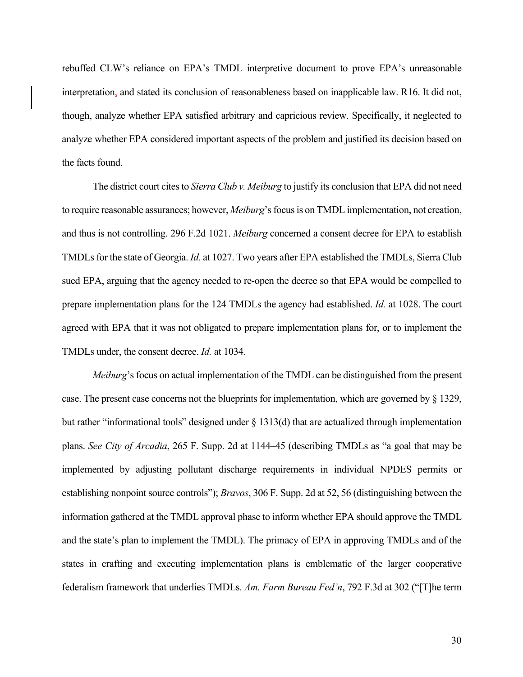rebuffed CLW's reliance on EPA's TMDL interpretive document to prove EPA's unreasonable interpretation, and stated its conclusion of reasonableness based on inapplicable law. R16. It did not, though, analyze whether EPA satisfied arbitrary and capricious review. Specifically, it neglected to analyze whether EPA considered important aspects of the problem and justified its decision based on the facts found.

The district court cites to *Sierra Club v. Meiburg* to justify its conclusion that EPA did not need to require reasonable assurances; however, *Meiburg*'s focus is on TMDL implementation, not creation, and thus is not controlling. 296 F.2d 1021. *Meiburg* concerned a consent decree for EPA to establish TMDLs for the state of Georgia. *Id.* at 1027. Two years after EPA established the TMDLs, Sierra Club sued EPA, arguing that the agency needed to re-open the decree so that EPA would be compelled to prepare implementation plans for the 124 TMDLs the agency had established. *Id.* at 1028. The court agreed with EPA that it was not obligated to prepare implementation plans for, or to implement the TMDLs under, the consent decree. *Id.* at 1034.

*Meiburg*'s focus on actual implementation of the TMDL can be distinguished from the present case. The present case concerns not the blueprints for implementation, which are governed by § 1329, but rather "informational tools" designed under § 1313(d) that are actualized through implementation plans. *See City of Arcadia*, 265 F. Supp. 2d at 1144–45 (describing TMDLs as "a goal that may be implemented by adjusting pollutant discharge requirements in individual NPDES permits or establishing nonpoint source controls"); *Bravos*, 306 F. Supp. 2d at 52, 56 (distinguishing between the information gathered at the TMDL approval phase to inform whether EPA should approve the TMDL and the state's plan to implement the TMDL). The primacy of EPA in approving TMDLs and of the states in crafting and executing implementation plans is emblematic of the larger cooperative federalism framework that underlies TMDLs. *Am. Farm Bureau Fed'n*, 792 F.3d at 302 ("[T]he term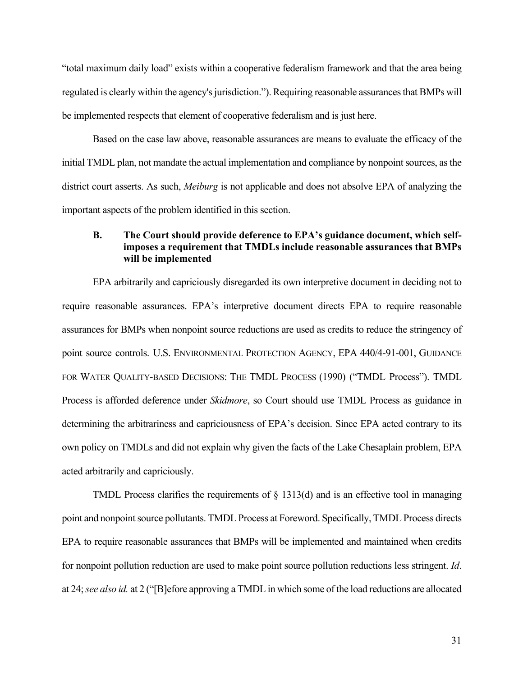"total maximum daily load" exists within a cooperative federalism framework and that the area being regulated is clearly within the agency's jurisdiction."). Requiring reasonable assurances that BMPs will be implemented respects that element of cooperative federalism and is just here.

Based on the case law above, reasonable assurances are means to evaluate the efficacy of the initial TMDL plan, not mandate the actual implementation and compliance by nonpoint sources, as the district court asserts. As such, *Meiburg* is not applicable and does not absolve EPA of analyzing the important aspects of the problem identified in this section.

## **B. The Court should provide deference to EPA's guidance document, which selfimposes a requirement that TMDLs include reasonable assurances that BMPs will be implemented**

EPA arbitrarily and capriciously disregarded its own interpretive document in deciding not to require reasonable assurances. EPA's interpretive document directs EPA to require reasonable assurances for BMPs when nonpoint source reductions are used as credits to reduce the stringency of point source controls. U.S. ENVIRONMENTAL PROTECTION AGENCY, EPA 440/4-91-001, GUIDANCE FOR WATER QUALITY-BASED DECISIONS: THE TMDL PROCESS (1990) ("TMDL Process"). TMDL Process is afforded deference under *Skidmore*, so Court should use TMDL Process as guidance in determining the arbitrariness and capriciousness of EPA's decision. Since EPA acted contrary to its own policy on TMDLs and did not explain why given the facts of the Lake Chesaplain problem, EPA acted arbitrarily and capriciously.

TMDL Process clarifies the requirements of  $\S$  1313(d) and is an effective tool in managing point and nonpoint source pollutants. TMDL Process at Foreword. Specifically, TMDL Process directs EPA to require reasonable assurances that BMPs will be implemented and maintained when credits for nonpoint pollution reduction are used to make point source pollution reductions less stringent. *Id*. at 24;*see also id.* at 2 ("[B]efore approving a TMDL in which some of the load reductions are allocated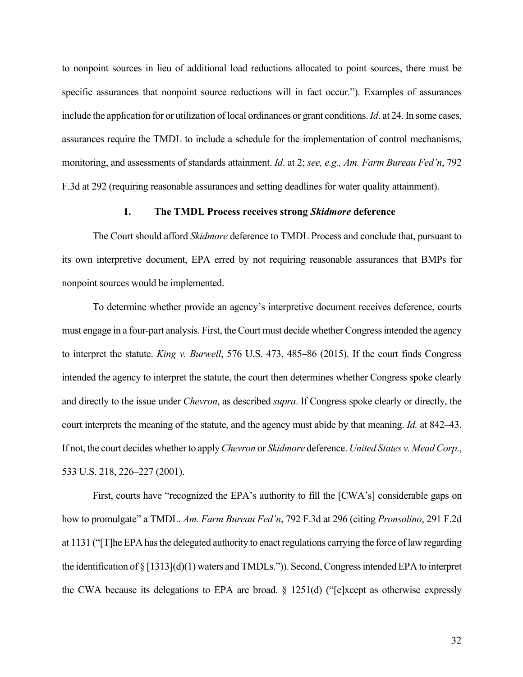to nonpoint sources in lieu of additional load reductions allocated to point sources, there must be specific assurances that nonpoint source reductions will in fact occur."). Examples of assurances include the application for or utilization of local ordinances or grant conditions. *Id*. at 24. In some cases, assurances require the TMDL to include a schedule for the implementation of control mechanisms, monitoring, and assessments of standards attainment. *Id*. at 2; *see, e.g., Am. Farm Bureau Fed'n*, 792 F.3d at 292 (requiring reasonable assurances and setting deadlines for water quality attainment).

## **1. The TMDL Process receives strong** *Skidmore* **deference**

The Court should afford *Skidmore* deference to TMDL Process and conclude that, pursuant to its own interpretive document, EPA erred by not requiring reasonable assurances that BMPs for nonpoint sources would be implemented.

To determine whether provide an agency's interpretive document receives deference, courts must engage in a four-part analysis. First, the Court must decide whether Congress intended the agency to interpret the statute. *King v. Burwell*, 576 U.S. 473, 485–86 (2015). If the court finds Congress intended the agency to interpret the statute, the court then determines whether Congress spoke clearly and directly to the issue under *Chevron*, as described *supra*. If Congress spoke clearly or directly, the court interprets the meaning of the statute, and the agency must abide by that meaning. *Id.* at 842–43. If not, the court decides whether to apply *Chevron* or *Skidmore* deference. *United States v. Mead Corp*., 533 U.S. 218, 226–227 (2001).

First, courts have "recognized the EPA's authority to fill the [CWA's] considerable gaps on how to promulgate" a TMDL. *Am. Farm Bureau Fed'n*, 792 F.3d at 296 (citing *Pronsolino*, 291 F.2d at 1131 ("[T]he EPA has the delegated authority to enact regulations carrying the force of law regarding the identification of § [1313](d)(1) waters and TMDLs.")). Second, Congress intended EPA to interpret the CWA because its delegations to EPA are broad. § 1251(d) ("[e]xcept as otherwise expressly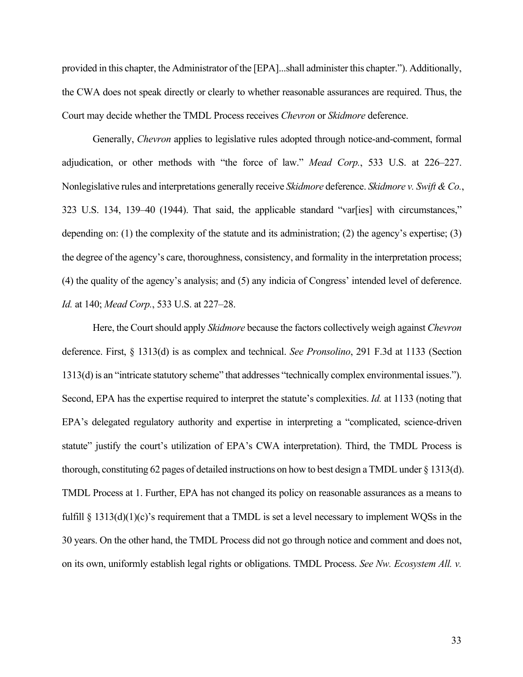provided in this chapter, the Administrator of the [EPA]...shall administer this chapter."). Additionally, the CWA does not speak directly or clearly to whether reasonable assurances are required. Thus, the Court may decide whether the TMDL Process receives *Chevron* or *Skidmore* deference.

Generally, *Chevron* applies to legislative rules adopted through notice-and-comment, formal adjudication, or other methods with "the force of law." *Mead Corp.*, 533 U.S. at 226–227. Nonlegislative rules and interpretations generally receive *Skidmore* deference. *Skidmore v. Swift & Co.*, 323 U.S. 134, 139–40 (1944). That said, the applicable standard "var[ies] with circumstances," depending on: (1) the complexity of the statute and its administration; (2) the agency's expertise; (3) the degree of the agency's care, thoroughness, consistency, and formality in the interpretation process; (4) the quality of the agency's analysis; and (5) any indicia of Congress' intended level of deference. *Id.* at 140; *Mead Corp.*, 533 U.S. at 227–28.

Here, the Court should apply *Skidmore* because the factors collectively weigh against *Chevron* deference. First, § 1313(d) is as complex and technical. *See Pronsolino*, 291 F.3d at 1133 (Section 1313(d) is an "intricate statutory scheme" that addresses "technically complex environmental issues."). Second, EPA has the expertise required to interpret the statute's complexities. *Id.* at 1133 (noting that EPA's delegated regulatory authority and expertise in interpreting a "complicated, science-driven statute" justify the court's utilization of EPA's CWA interpretation). Third, the TMDL Process is thorough, constituting 62 pages of detailed instructions on how to best design a TMDL under § 1313(d). TMDL Process at 1. Further, EPA has not changed its policy on reasonable assurances as a means to fulfill § 1313(d)(1)(c)'s requirement that a TMDL is set a level necessary to implement WQSs in the 30 years. On the other hand, the TMDL Process did not go through notice and comment and does not, on its own, uniformly establish legal rights or obligations. TMDL Process. *See Nw. Ecosystem All. v.*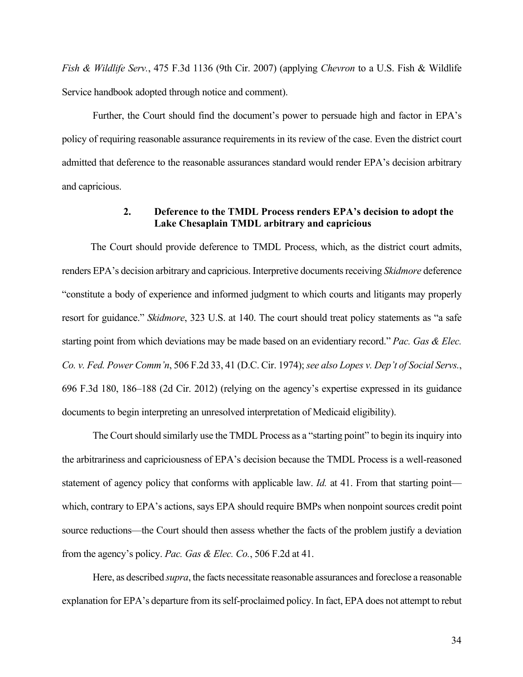*Fish & Wildlife Serv.*, 475 F.3d 1136 (9th Cir. 2007) (applying *Chevron* to a U.S. Fish & Wildlife Service handbook adopted through notice and comment).

Further, the Court should find the document's power to persuade high and factor in EPA's policy of requiring reasonable assurance requirements in its review of the case. Even the district court admitted that deference to the reasonable assurances standard would render EPA's decision arbitrary and capricious.

## **2. Deference to the TMDL Process renders EPA's decision to adopt the Lake Chesaplain TMDL arbitrary and capricious**

 The Court should provide deference to TMDL Process, which, as the district court admits, renders EPA's decision arbitrary and capricious. Interpretive documents receiving *Skidmore* deference "constitute a body of experience and informed judgment to which courts and litigants may properly resort for guidance." *Skidmore*, 323 U.S. at 140. The court should treat policy statements as "a safe starting point from which deviations may be made based on an evidentiary record." *Pac. Gas & Elec. Co. v. Fed. Power Comm'n*, 506 F.2d 33, 41 (D.C. Cir. 1974); *see also Lopes v. Dep't of Social Servs.*, 696 F.3d 180, 186–188 (2d Cir. 2012) (relying on the agency's expertise expressed in its guidance documents to begin interpreting an unresolved interpretation of Medicaid eligibility).

The Court should similarly use the TMDL Process as a "starting point" to begin its inquiry into the arbitrariness and capriciousness of EPA's decision because the TMDL Process is a well-reasoned statement of agency policy that conforms with applicable law. *Id.* at 41. From that starting point which, contrary to EPA's actions, says EPA should require BMPs when nonpoint sources credit point source reductions—the Court should then assess whether the facts of the problem justify a deviation from the agency's policy. *Pac. Gas & Elec. Co.*, 506 F.2d at 41.

Here, as described *supra*, the facts necessitate reasonable assurances and foreclose a reasonable explanation for EPA's departure from its self-proclaimed policy. In fact, EPA does not attempt to rebut